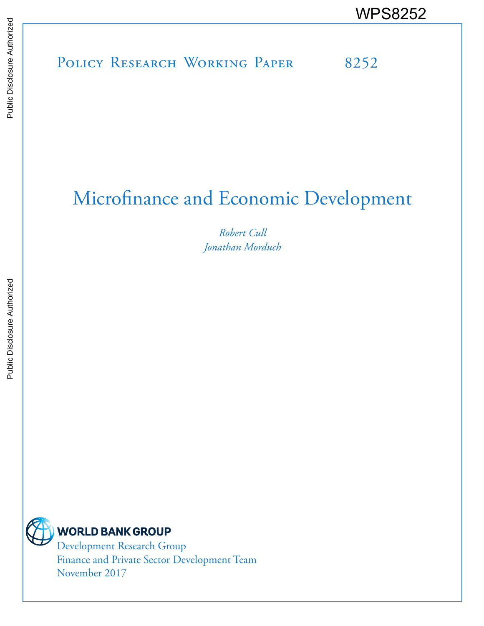# POLICY RESEARCH WORKING PAPER 8252 WPS8252

# Microfinance and Economic Development

*Robert Cull Jonathan Morduch*



Development Research Group Finance and Private Sector Development Team November 2017

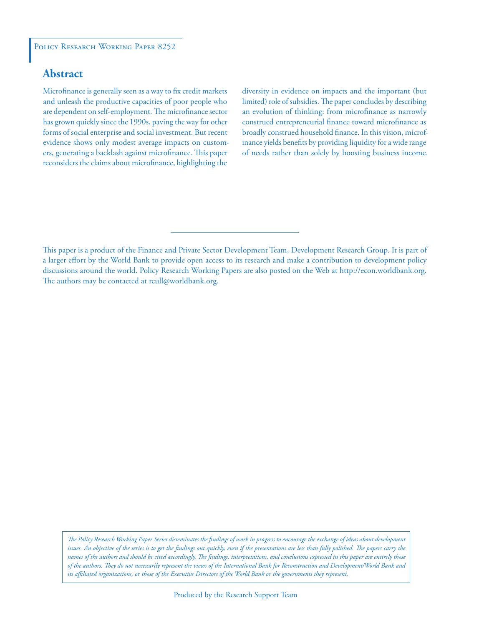## **Abstract**

Microfinance is generally seen as a way to fix credit markets and unleash the productive capacities of poor people who are dependent on self-employment. The microfinance sector has grown quickly since the 1990s, paving the way for other forms of social enterprise and social investment. But recent evidence shows only modest average impacts on customers, generating a backlash against microfinance. This paper reconsiders the claims about microfinance, highlighting the

diversity in evidence on impacts and the important (but limited) role of subsidies. The paper concludes by describing an evolution of thinking: from microfinance as narrowly construed entrepreneurial finance toward microfinance as broadly construed household finance. In this vision, microfinance yields benefits by providing liquidity for a wide range of needs rather than solely by boosting business income.

This paper is a product of the Finance and Private Sector Development Team, Development Research Group. It is part of a larger effort by the World Bank to provide open access to its research and make a contribution to development policy discussions around the world. Policy Research Working Papers are also posted on the Web at http://econ.worldbank.org. The authors may be contacted at rcull@worldbank.org.

*The Policy Research Working Paper Series disseminates the findings of work in progress to encourage the exchange of ideas about development*  issues. An objective of the series is to get the findings out quickly, even if the presentations are less than fully polished. The papers carry the *names of the authors and should be cited accordingly. The findings, interpretations, and conclusions expressed in this paper are entirely those of the authors. They do not necessarily represent the views of the International Bank for Reconstruction and Development/World Bank and its affiliated organizations, or those of the Executive Directors of the World Bank or the governments they represent.*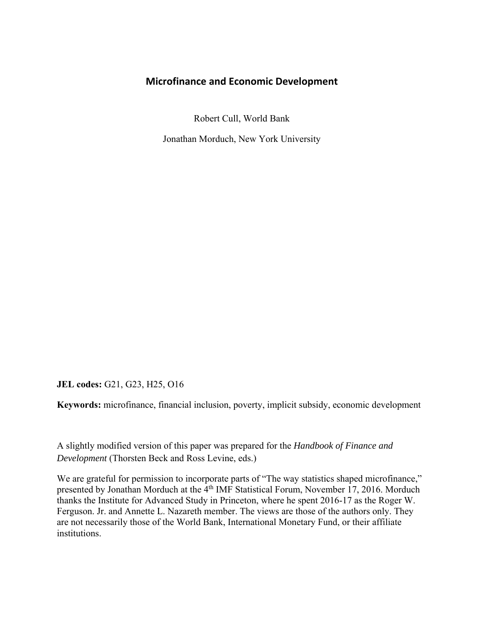### **Microfinance and Economic Development**

Robert Cull, World Bank

Jonathan Morduch, New York University

**JEL codes:** G21, G23, H25, O16

**Keywords:** microfinance, financial inclusion, poverty, implicit subsidy, economic development

A slightly modified version of this paper was prepared for the *Handbook of Finance and Development* (Thorsten Beck and Ross Levine, eds.)

We are grateful for permission to incorporate parts of "The way statistics shaped microfinance," presented by Jonathan Morduch at the 4<sup>th</sup> IMF Statistical Forum, November 17, 2016. Morduch thanks the Institute for Advanced Study in Princeton, where he spent 2016-17 as the Roger W. Ferguson. Jr. and Annette L. Nazareth member. The views are those of the authors only. They are not necessarily those of the World Bank, International Monetary Fund, or their affiliate institutions.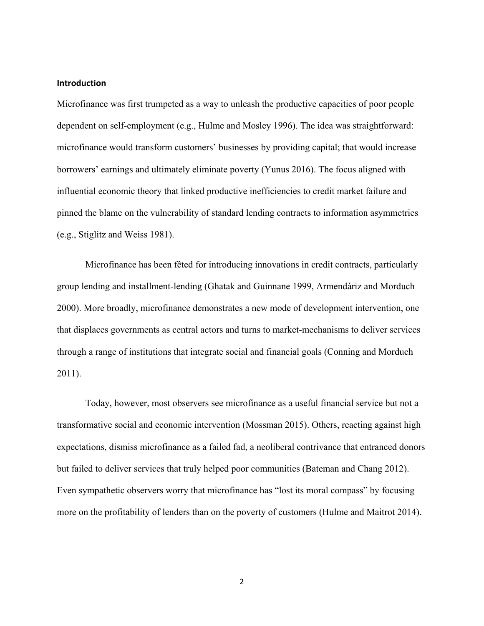#### **Introduction**

Microfinance was first trumpeted as a way to unleash the productive capacities of poor people dependent on self-employment (e.g., Hulme and Mosley 1996). The idea was straightforward: microfinance would transform customers' businesses by providing capital; that would increase borrowers' earnings and ultimately eliminate poverty (Yunus 2016). The focus aligned with influential economic theory that linked productive inefficiencies to credit market failure and pinned the blame on the vulnerability of standard lending contracts to information asymmetries (e.g., Stiglitz and Weiss 1981).

Microfinance has been fêted for introducing innovations in credit contracts, particularly group lending and installment-lending (Ghatak and Guinnane 1999, Armendáriz and Morduch 2000). More broadly, microfinance demonstrates a new mode of development intervention, one that displaces governments as central actors and turns to market-mechanisms to deliver services through a range of institutions that integrate social and financial goals (Conning and Morduch 2011).

Today, however, most observers see microfinance as a useful financial service but not a transformative social and economic intervention (Mossman 2015). Others, reacting against high expectations, dismiss microfinance as a failed fad, a neoliberal contrivance that entranced donors but failed to deliver services that truly helped poor communities (Bateman and Chang 2012). Even sympathetic observers worry that microfinance has "lost its moral compass" by focusing more on the profitability of lenders than on the poverty of customers (Hulme and Maitrot 2014).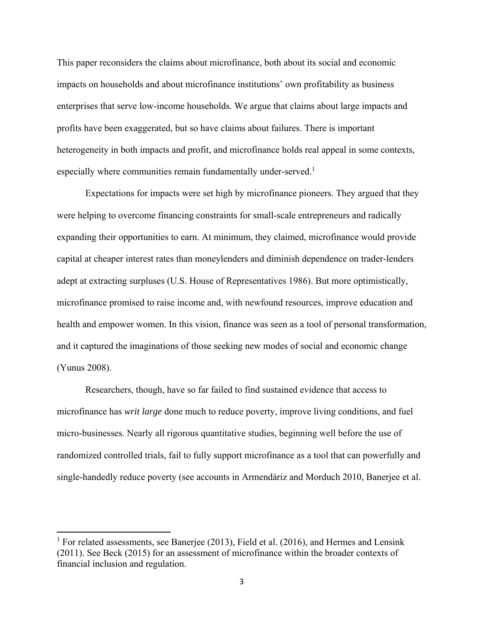This paper reconsiders the claims about microfinance, both about its social and economic impacts on households and about microfinance institutions' own profitability as business enterprises that serve low-income households. We argue that claims about large impacts and profits have been exaggerated, but so have claims about failures. There is important heterogeneity in both impacts and profit, and microfinance holds real appeal in some contexts, especially where communities remain fundamentally under-served.<sup>1</sup>

Expectations for impacts were set high by microfinance pioneers. They argued that they were helping to overcome financing constraints for small-scale entrepreneurs and radically expanding their opportunities to earn. At minimum, they claimed, microfinance would provide capital at cheaper interest rates than moneylenders and diminish dependence on trader-lenders adept at extracting surpluses (U.S. House of Representatives 1986). But more optimistically, microfinance promised to raise income and, with newfound resources, improve education and health and empower women. In this vision, finance was seen as a tool of personal transformation, and it captured the imaginations of those seeking new modes of social and economic change (Yunus 2008).

Researchers, though, have so far failed to find sustained evidence that access to microfinance has *writ large* done much to reduce poverty, improve living conditions, and fuel micro-businesses. Nearly all rigorous quantitative studies, beginning well before the use of randomized controlled trials, fail to fully support microfinance as a tool that can powerfully and single-handedly reduce poverty (see accounts in Armendàriz and Morduch 2010, Banerjee et al.

 $\overline{\phantom{a}}$ 

<sup>&</sup>lt;sup>1</sup> For related assessments, see Banerjee (2013), Field et al. (2016), and Hermes and Lensink (2011). See Beck (2015) for an assessment of microfinance within the broader contexts of financial inclusion and regulation.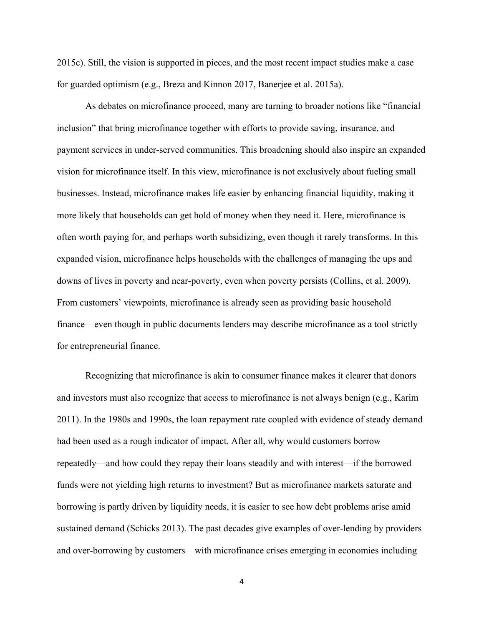2015c). Still, the vision is supported in pieces, and the most recent impact studies make a case for guarded optimism (e.g., Breza and Kinnon 2017, Banerjee et al. 2015a).

As debates on microfinance proceed, many are turning to broader notions like "financial inclusion" that bring microfinance together with efforts to provide saving, insurance, and payment services in under-served communities. This broadening should also inspire an expanded vision for microfinance itself. In this view, microfinance is not exclusively about fueling small businesses. Instead, microfinance makes life easier by enhancing financial liquidity, making it more likely that households can get hold of money when they need it. Here, microfinance is often worth paying for, and perhaps worth subsidizing, even though it rarely transforms. In this expanded vision, microfinance helps households with the challenges of managing the ups and downs of lives in poverty and near-poverty, even when poverty persists (Collins, et al. 2009). From customers' viewpoints, microfinance is already seen as providing basic household finance—even though in public documents lenders may describe microfinance as a tool strictly for entrepreneurial finance.

Recognizing that microfinance is akin to consumer finance makes it clearer that donors and investors must also recognize that access to microfinance is not always benign (e.g., Karim 2011). In the 1980s and 1990s, the loan repayment rate coupled with evidence of steady demand had been used as a rough indicator of impact. After all, why would customers borrow repeatedly—and how could they repay their loans steadily and with interest—if the borrowed funds were not yielding high returns to investment? But as microfinance markets saturate and borrowing is partly driven by liquidity needs, it is easier to see how debt problems arise amid sustained demand (Schicks 2013). The past decades give examples of over-lending by providers and over-borrowing by customers—with microfinance crises emerging in economies including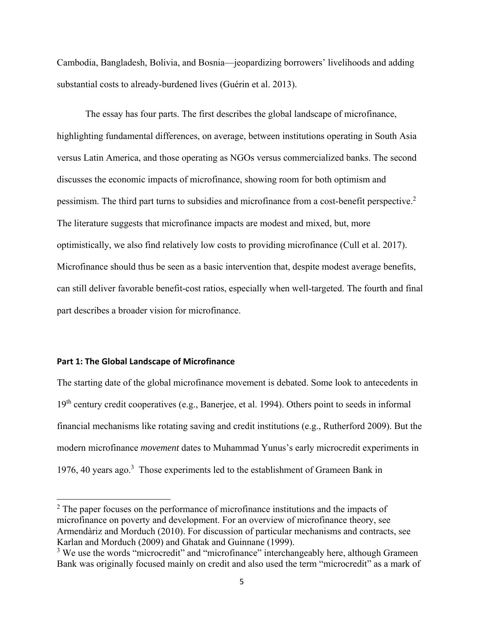Cambodia, Bangladesh, Bolivia, and Bosnia—jeopardizing borrowers' livelihoods and adding substantial costs to already-burdened lives (Guérin et al. 2013).

The essay has four parts. The first describes the global landscape of microfinance, highlighting fundamental differences, on average, between institutions operating in South Asia versus Latin America, and those operating as NGOs versus commercialized banks. The second discusses the economic impacts of microfinance, showing room for both optimism and pessimism. The third part turns to subsidies and microfinance from a cost-benefit perspective.2 The literature suggests that microfinance impacts are modest and mixed, but, more optimistically, we also find relatively low costs to providing microfinance (Cull et al. 2017). Microfinance should thus be seen as a basic intervention that, despite modest average benefits, can still deliver favorable benefit-cost ratios, especially when well-targeted. The fourth and final part describes a broader vision for microfinance.

#### **Part 1: The Global Landscape of Microfinance**

 $\overline{\phantom{a}}$ 

The starting date of the global microfinance movement is debated. Some look to antecedents in 19<sup>th</sup> century credit cooperatives (e.g., Banerjee, et al. 1994). Others point to seeds in informal financial mechanisms like rotating saving and credit institutions (e.g., Rutherford 2009). But the modern microfinance *movement* dates to Muhammad Yunus's early microcredit experiments in 1976, 40 years ago.<sup>3</sup> Those experiments led to the establishment of Grameen Bank in

 $2$  The paper focuses on the performance of microfinance institutions and the impacts of microfinance on poverty and development. For an overview of microfinance theory, see Armendàriz and Morduch (2010). For discussion of particular mechanisms and contracts, see Karlan and Morduch (2009) and Ghatak and Guinnane (1999).

<sup>&</sup>lt;sup>3</sup> We use the words "microcredit" and "microfinance" interchangeably here, although Grameen Bank was originally focused mainly on credit and also used the term "microcredit" as a mark of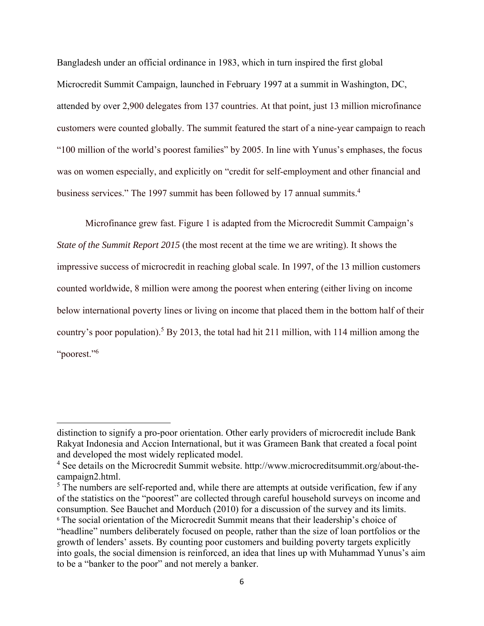Bangladesh under an official ordinance in 1983, which in turn inspired the first global Microcredit Summit Campaign, launched in February 1997 at a summit in Washington, DC, attended by over 2,900 delegates from 137 countries. At that point, just 13 million microfinance customers were counted globally. The summit featured the start of a nine-year campaign to reach "100 million of the world's poorest families" by 2005. In line with Yunus's emphases, the focus was on women especially, and explicitly on "credit for self-employment and other financial and business services." The 1997 summit has been followed by 17 annual summits.<sup>4</sup>

 Microfinance grew fast. Figure 1 is adapted from the Microcredit Summit Campaign's *State of the Summit Report 2015* (the most recent at the time we are writing). It shows the impressive success of microcredit in reaching global scale. In 1997, of the 13 million customers counted worldwide, 8 million were among the poorest when entering (either living on income below international poverty lines or living on income that placed them in the bottom half of their country's poor population).<sup>5</sup> By 2013, the total had hit 211 million, with 114 million among the "poorest."6

 $\overline{\phantom{a}}$ 

distinction to signify a pro-poor orientation. Other early providers of microcredit include Bank Rakyat Indonesia and Accion International, but it was Grameen Bank that created a focal point and developed the most widely replicated model.

<sup>&</sup>lt;sup>4</sup> See details on the Microcredit Summit website. http://www.microcreditsummit.org/about-thecampaign2.html.

 $<sup>5</sup>$  The numbers are self-reported and, while there are attempts at outside verification, few if any</sup> of the statistics on the "poorest" are collected through careful household surveys on income and consumption. See Bauchet and Morduch (2010) for a discussion of the survey and its limits. <sup>6</sup> The social orientation of the Microcredit Summit means that their leadership's choice of "headline" numbers deliberately focused on people, rather than the size of loan portfolios or the growth of lenders' assets. By counting poor customers and building poverty targets explicitly into goals, the social dimension is reinforced, an idea that lines up with Muhammad Yunus's aim to be a "banker to the poor" and not merely a banker.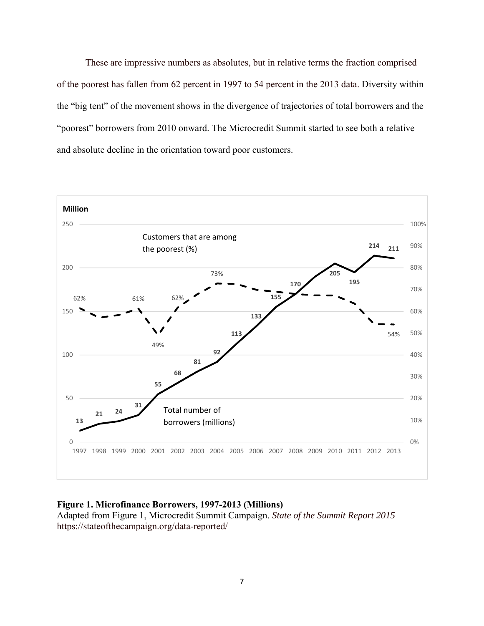These are impressive numbers as absolutes, but in relative terms the fraction comprised of the poorest has fallen from 62 percent in 1997 to 54 percent in the 2013 data. Diversity within the "big tent" of the movement shows in the divergence of trajectories of total borrowers and the "poorest" borrowers from 2010 onward. The Microcredit Summit started to see both a relative and absolute decline in the orientation toward poor customers.



#### **Figure 1. Microfinance Borrowers, 1997-2013 (Millions)**

Adapted from Figure 1, Microcredit Summit Campaign. *State of the Summit Report 2015*  https://stateofthecampaign.org/data-reported/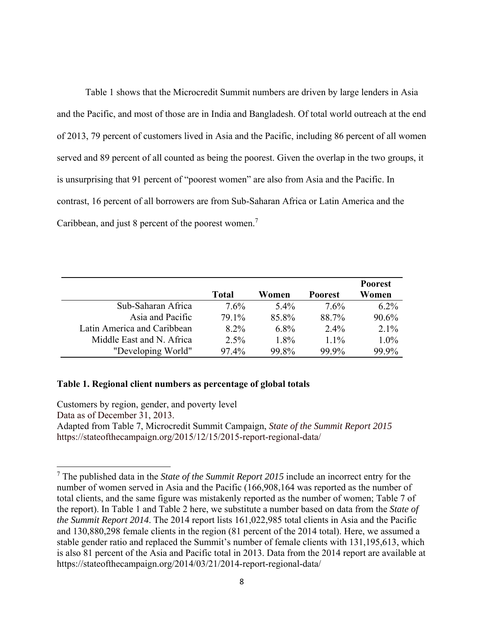Table 1 shows that the Microcredit Summit numbers are driven by large lenders in Asia and the Pacific, and most of those are in India and Bangladesh. Of total world outreach at the end of 2013, 79 percent of customers lived in Asia and the Pacific, including 86 percent of all women served and 89 percent of all counted as being the poorest. Given the overlap in the two groups, it is unsurprising that 91 percent of "poorest women" are also from Asia and the Pacific. In contrast, 16 percent of all borrowers are from Sub-Saharan Africa or Latin America and the Caribbean, and just 8 percent of the poorest women.<sup>7</sup>

|                             |         |         |                | <b>Poorest</b> |
|-----------------------------|---------|---------|----------------|----------------|
|                             | Total   | Women   | <b>Poorest</b> | Women          |
| Sub-Saharan Africa          | $7.6\%$ | $5.4\%$ | 7.6%           | $6.2\%$        |
| Asia and Pacific            | 79.1%   | 85.8%   | 88.7%          | 90.6%          |
| Latin America and Caribbean | $8.2\%$ | $6.8\%$ | $2.4\%$        | $2.1\%$        |
| Middle East and N. Africa   | $2.5\%$ | 1.8%    | $1.1\%$        | $1.0\%$        |
| "Developing World"          | 97.4%   | 99.8%   | 99.9%          | 99.9%          |

#### **Table 1. Regional client numbers as percentage of global totals**

 $\overline{a}$ 

Customers by region, gender, and poverty level Data as of December 31, 2013. Adapted from Table 7, Microcredit Summit Campaign, *State of the Summit Report 2015*  https://stateofthecampaign.org/2015/12/15/2015-report-regional-data/

<sup>7</sup> The published data in the *State of the Summit Report 2015* include an incorrect entry for the number of women served in Asia and the Pacific (166,908,164 was reported as the number of total clients, and the same figure was mistakenly reported as the number of women; Table 7 of the report). In Table 1 and Table 2 here, we substitute a number based on data from the *State of the Summit Report 2014*. The 2014 report lists 161,022,985 total clients in Asia and the Pacific and 130,880,298 female clients in the region (81 percent of the 2014 total). Here, we assumed a stable gender ratio and replaced the Summit's number of female clients with 131,195,613, which is also 81 percent of the Asia and Pacific total in 2013. Data from the 2014 report are available at https://stateofthecampaign.org/2014/03/21/2014-report-regional-data/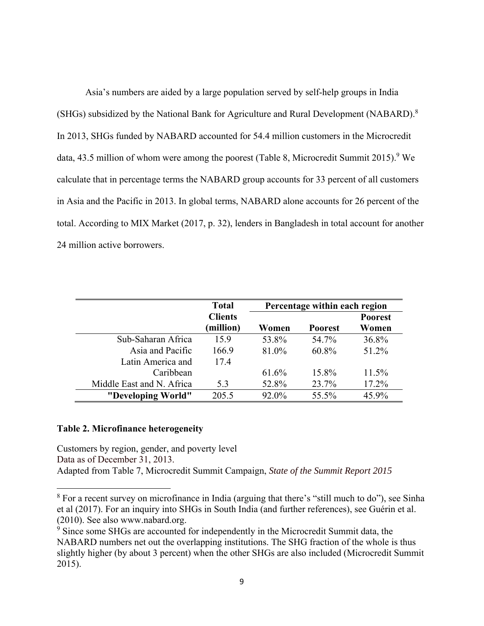Asia's numbers are aided by a large population served by self-help groups in India (SHGs) subsidized by the National Bank for Agriculture and Rural Development (NABARD).<sup>8</sup> In 2013, SHGs funded by NABARD accounted for 54.4 million customers in the Microcredit data, 43.5 million of whom were among the poorest (Table 8, Microcredit Summit 2015).<sup>9</sup> We calculate that in percentage terms the NABARD group accounts for 33 percent of all customers in Asia and the Pacific in 2013. In global terms, NABARD alone accounts for 26 percent of the total. According to MIX Market (2017, p. 32), lenders in Bangladesh in total account for another 24 million active borrowers.

|                           | <b>Total</b>                | Percentage within each region |                |                         |  |
|---------------------------|-----------------------------|-------------------------------|----------------|-------------------------|--|
|                           | <b>Clients</b><br>(million) | Women                         | <b>Poorest</b> | <b>Poorest</b><br>Women |  |
| Sub-Saharan Africa        | 15.9                        | 53.8%                         | 54.7%          | 36.8%                   |  |
| Asia and Pacific          | 166.9                       | 81.0%                         | 60.8%          | 51.2%                   |  |
| Latin America and         | 17.4                        |                               |                |                         |  |
| Caribbean                 |                             | 61.6%                         | 15.8%          | $11.5\%$                |  |
| Middle East and N. Africa | 5.3                         | 52.8%                         | 23.7%          | 17.2%                   |  |
| "Developing World"        | 205.5                       | 92.0%                         | 55.5%          | 45.9%                   |  |

#### **Table 2. Microfinance heterogeneity**

 $\overline{\phantom{a}}$ 

Customers by region, gender, and poverty level Data as of December 31, 2013. Adapted from Table 7, Microcredit Summit Campaign, *State of the Summit Report 2015* 

<sup>&</sup>lt;sup>8</sup> For a recent survey on microfinance in India (arguing that there's "still much to do"), see Sinha et al (2017). For an inquiry into SHGs in South India (and further references), see Guérin et al. (2010). See also www.nabard.org.

<sup>&</sup>lt;sup>9</sup> Since some SHGs are accounted for independently in the Microcredit Summit data, the NABARD numbers net out the overlapping institutions. The SHG fraction of the whole is thus slightly higher (by about 3 percent) when the other SHGs are also included (Microcredit Summit 2015).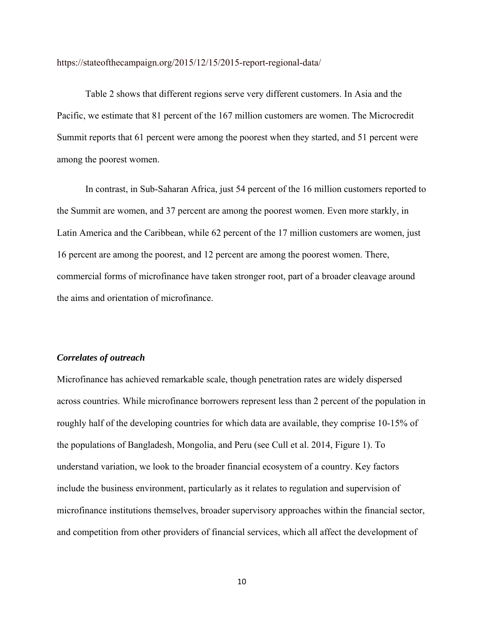https://stateofthecampaign.org/2015/12/15/2015-report-regional-data/

Table 2 shows that different regions serve very different customers. In Asia and the Pacific, we estimate that 81 percent of the 167 million customers are women. The Microcredit Summit reports that 61 percent were among the poorest when they started, and 51 percent were among the poorest women.

In contrast, in Sub-Saharan Africa, just 54 percent of the 16 million customers reported to the Summit are women, and 37 percent are among the poorest women. Even more starkly, in Latin America and the Caribbean, while 62 percent of the 17 million customers are women, just 16 percent are among the poorest, and 12 percent are among the poorest women. There, commercial forms of microfinance have taken stronger root, part of a broader cleavage around the aims and orientation of microfinance.

#### *Correlates of outreach*

Microfinance has achieved remarkable scale, though penetration rates are widely dispersed across countries. While microfinance borrowers represent less than 2 percent of the population in roughly half of the developing countries for which data are available, they comprise 10-15% of the populations of Bangladesh, Mongolia, and Peru (see Cull et al. 2014, Figure 1). To understand variation, we look to the broader financial ecosystem of a country. Key factors include the business environment, particularly as it relates to regulation and supervision of microfinance institutions themselves, broader supervisory approaches within the financial sector, and competition from other providers of financial services, which all affect the development of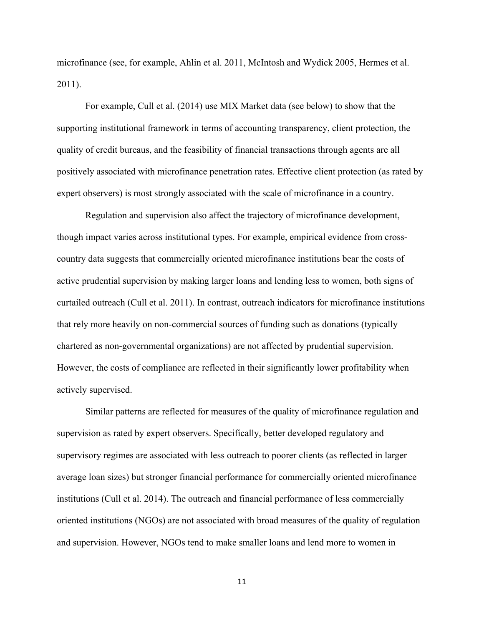microfinance (see, for example, Ahlin et al. 2011, McIntosh and Wydick 2005, Hermes et al. 2011).

For example, Cull et al. (2014) use MIX Market data (see below) to show that the supporting institutional framework in terms of accounting transparency, client protection, the quality of credit bureaus, and the feasibility of financial transactions through agents are all positively associated with microfinance penetration rates. Effective client protection (as rated by expert observers) is most strongly associated with the scale of microfinance in a country.

 Regulation and supervision also affect the trajectory of microfinance development, though impact varies across institutional types. For example, empirical evidence from crosscountry data suggests that commercially oriented microfinance institutions bear the costs of active prudential supervision by making larger loans and lending less to women, both signs of curtailed outreach (Cull et al. 2011). In contrast, outreach indicators for microfinance institutions that rely more heavily on non-commercial sources of funding such as donations (typically chartered as non-governmental organizations) are not affected by prudential supervision. However, the costs of compliance are reflected in their significantly lower profitability when actively supervised.

 Similar patterns are reflected for measures of the quality of microfinance regulation and supervision as rated by expert observers. Specifically, better developed regulatory and supervisory regimes are associated with less outreach to poorer clients (as reflected in larger average loan sizes) but stronger financial performance for commercially oriented microfinance institutions (Cull et al. 2014). The outreach and financial performance of less commercially oriented institutions (NGOs) are not associated with broad measures of the quality of regulation and supervision. However, NGOs tend to make smaller loans and lend more to women in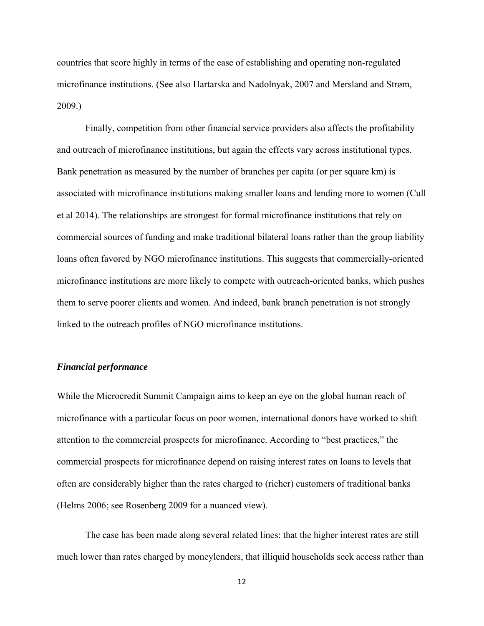countries that score highly in terms of the ease of establishing and operating non-regulated microfinance institutions. (See also Hartarska and Nadolnyak, 2007 and Mersland and Strøm, 2009.)

 Finally, competition from other financial service providers also affects the profitability and outreach of microfinance institutions, but again the effects vary across institutional types. Bank penetration as measured by the number of branches per capita (or per square km) is associated with microfinance institutions making smaller loans and lending more to women (Cull et al 2014). The relationships are strongest for formal microfinance institutions that rely on commercial sources of funding and make traditional bilateral loans rather than the group liability loans often favored by NGO microfinance institutions. This suggests that commercially-oriented microfinance institutions are more likely to compete with outreach-oriented banks, which pushes them to serve poorer clients and women. And indeed, bank branch penetration is not strongly linked to the outreach profiles of NGO microfinance institutions.

#### *Financial performance*

While the Microcredit Summit Campaign aims to keep an eye on the global human reach of microfinance with a particular focus on poor women, international donors have worked to shift attention to the commercial prospects for microfinance. According to "best practices," the commercial prospects for microfinance depend on raising interest rates on loans to levels that often are considerably higher than the rates charged to (richer) customers of traditional banks (Helms 2006; see Rosenberg 2009 for a nuanced view).

The case has been made along several related lines: that the higher interest rates are still much lower than rates charged by moneylenders, that illiquid households seek access rather than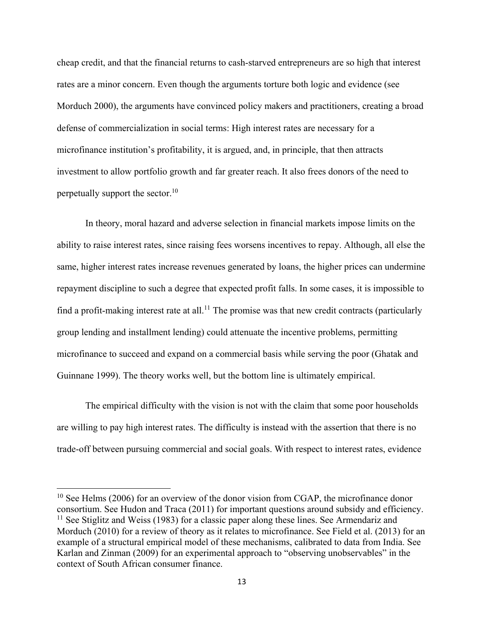cheap credit, and that the financial returns to cash-starved entrepreneurs are so high that interest rates are a minor concern. Even though the arguments torture both logic and evidence (see Morduch 2000), the arguments have convinced policy makers and practitioners, creating a broad defense of commercialization in social terms: High interest rates are necessary for a microfinance institution's profitability, it is argued, and, in principle, that then attracts investment to allow portfolio growth and far greater reach. It also frees donors of the need to perpetually support the sector.<sup>10</sup>

In theory, moral hazard and adverse selection in financial markets impose limits on the ability to raise interest rates, since raising fees worsens incentives to repay. Although, all else the same, higher interest rates increase revenues generated by loans, the higher prices can undermine repayment discipline to such a degree that expected profit falls. In some cases, it is impossible to find a profit-making interest rate at all.<sup>11</sup> The promise was that new credit contracts (particularly group lending and installment lending) could attenuate the incentive problems, permitting microfinance to succeed and expand on a commercial basis while serving the poor (Ghatak and Guinnane 1999). The theory works well, but the bottom line is ultimately empirical.

The empirical difficulty with the vision is not with the claim that some poor households are willing to pay high interest rates. The difficulty is instead with the assertion that there is no trade-off between pursuing commercial and social goals. With respect to interest rates, evidence

 $\overline{\phantom{a}}$ 

 $10$  See Helms (2006) for an overview of the donor vision from CGAP, the microfinance donor consortium. See Hudon and Traca (2011) for important questions around subsidy and efficiency.  $11$  See Stiglitz and Weiss (1983) for a classic paper along these lines. See Armendariz and Morduch (2010) for a review of theory as it relates to microfinance. See Field et al. (2013) for an example of a structural empirical model of these mechanisms, calibrated to data from India. See Karlan and Zinman (2009) for an experimental approach to "observing unobservables" in the context of South African consumer finance.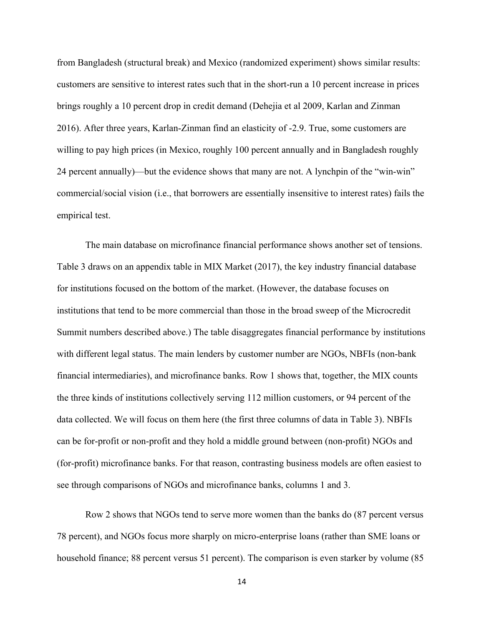from Bangladesh (structural break) and Mexico (randomized experiment) shows similar results: customers are sensitive to interest rates such that in the short-run a 10 percent increase in prices brings roughly a 10 percent drop in credit demand (Dehejia et al 2009, Karlan and Zinman 2016). After three years, Karlan-Zinman find an elasticity of -2.9. True, some customers are willing to pay high prices (in Mexico, roughly 100 percent annually and in Bangladesh roughly 24 percent annually)—but the evidence shows that many are not. A lynchpin of the "win-win" commercial/social vision (i.e., that borrowers are essentially insensitive to interest rates) fails the empirical test.

The main database on microfinance financial performance shows another set of tensions. Table 3 draws on an appendix table in MIX Market (2017), the key industry financial database for institutions focused on the bottom of the market. (However, the database focuses on institutions that tend to be more commercial than those in the broad sweep of the Microcredit Summit numbers described above.) The table disaggregates financial performance by institutions with different legal status. The main lenders by customer number are NGOs, NBFIs (non-bank financial intermediaries), and microfinance banks. Row 1 shows that, together, the MIX counts the three kinds of institutions collectively serving 112 million customers, or 94 percent of the data collected. We will focus on them here (the first three columns of data in Table 3). NBFIs can be for-profit or non-profit and they hold a middle ground between (non-profit) NGOs and (for-profit) microfinance banks. For that reason, contrasting business models are often easiest to see through comparisons of NGOs and microfinance banks, columns 1 and 3.

Row 2 shows that NGOs tend to serve more women than the banks do (87 percent versus 78 percent), and NGOs focus more sharply on micro-enterprise loans (rather than SME loans or household finance; 88 percent versus 51 percent). The comparison is even starker by volume (85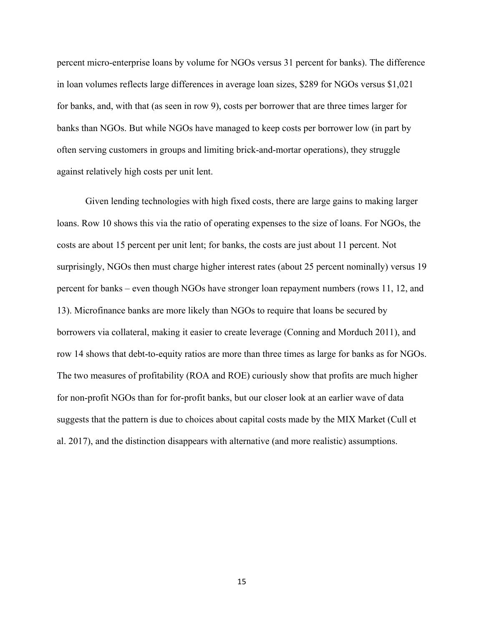percent micro-enterprise loans by volume for NGOs versus 31 percent for banks). The difference in loan volumes reflects large differences in average loan sizes, \$289 for NGOs versus \$1,021 for banks, and, with that (as seen in row 9), costs per borrower that are three times larger for banks than NGOs. But while NGOs have managed to keep costs per borrower low (in part by often serving customers in groups and limiting brick-and-mortar operations), they struggle against relatively high costs per unit lent.

Given lending technologies with high fixed costs, there are large gains to making larger loans. Row 10 shows this via the ratio of operating expenses to the size of loans. For NGOs, the costs are about 15 percent per unit lent; for banks, the costs are just about 11 percent. Not surprisingly, NGOs then must charge higher interest rates (about 25 percent nominally) versus 19 percent for banks – even though NGOs have stronger loan repayment numbers (rows 11, 12, and 13). Microfinance banks are more likely than NGOs to require that loans be secured by borrowers via collateral, making it easier to create leverage (Conning and Morduch 2011), and row 14 shows that debt-to-equity ratios are more than three times as large for banks as for NGOs. The two measures of profitability (ROA and ROE) curiously show that profits are much higher for non-profit NGOs than for for-profit banks, but our closer look at an earlier wave of data suggests that the pattern is due to choices about capital costs made by the MIX Market (Cull et al. 2017), and the distinction disappears with alternative (and more realistic) assumptions.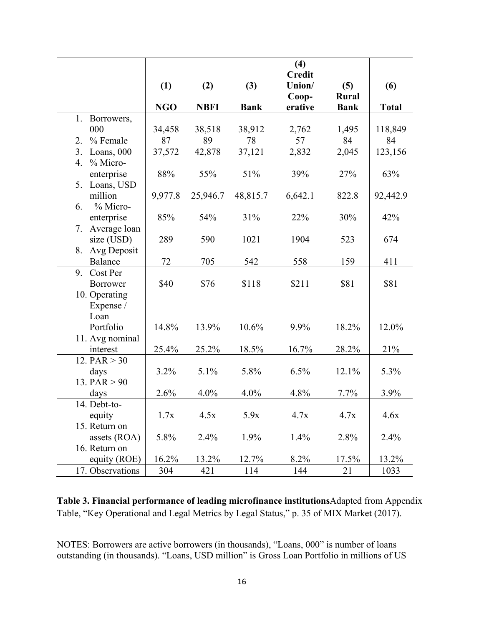|                             |            |             |             | (4)<br><b>Credit</b> |              |              |
|-----------------------------|------------|-------------|-------------|----------------------|--------------|--------------|
|                             | (1)        | (2)         | (3)         | Union/               | (5)          | (6)          |
|                             |            |             |             | Coop-                | <b>Rural</b> |              |
|                             | <b>NGO</b> | <b>NBFI</b> | <b>Bank</b> | erative              | <b>Bank</b>  | <b>Total</b> |
| Borrowers,<br>1.            |            |             |             |                      |              |              |
| 000                         | 34,458     | 38,518      | 38,912      | 2,762                | 1,495        | 118,849      |
| % Female<br>2.              | 87         | 89          | 78          | 57                   | 84           | 84           |
| Loans, 000<br>3.            | 37,572     | 42,878      | 37,121      | 2,832                | 2,045        | 123,156      |
| % Micro-<br>4.              |            |             |             |                      |              |              |
| enterprise                  | 88%        | 55%         | 51%         | 39%                  | 27%          | 63%          |
| 5. Loans, USD               |            |             |             |                      |              |              |
| million                     | 9,977.8    | 25,946.7    | 48,815.7    | 6,642.1              | 822.8        | 92,442.9     |
| % Micro-<br>6.              |            |             |             |                      |              |              |
| enterprise                  | 85%        | 54%         | 31%         | 22%                  | 30%          | 42%          |
| 7. Average loan             |            |             |             |                      |              |              |
| size (USD)                  | 289        | 590         | 1021        | 1904                 | 523          | 674          |
| 8. Avg Deposit              |            |             |             |                      |              |              |
| Balance                     | 72         | 705         | 542         | 558                  | 159          | 411          |
| 9. Cost Per                 | \$40       |             |             |                      |              |              |
| Borrower                    |            | \$76        | \$118       | \$211                | \$81         | \$81         |
| 10. Operating               |            |             |             |                      |              |              |
| Expense /<br>Loan           |            |             |             |                      |              |              |
| Portfolio                   | 14.8%      | 13.9%       | 10.6%       | 9.9%                 | 18.2%        | 12.0%        |
|                             |            |             |             |                      |              |              |
| 11. Avg nominal<br>interest | 25.4%      | 25.2%       | 18.5%       | 16.7%                | 28.2%        | 21%          |
| 12. $PAR > 30$              |            |             |             |                      |              |              |
| days                        | 3.2%       | 5.1%        | 5.8%        | 6.5%                 | 12.1%        | 5.3%         |
| 13. PAR $>90$               |            |             |             |                      |              |              |
| days                        | 2.6%       | 4.0%        | 4.0%        | 4.8%                 | 7.7%         | 3.9%         |
| 14. Debt-to-                |            |             |             |                      |              |              |
| equity                      | 1.7x       | 4.5x        | 5.9x        | 4.7x                 | 4.7x         | 4.6x         |
| 15. Return on               |            |             |             |                      |              |              |
| assets (ROA)                | 5.8%       | 2.4%        | 1.9%        | 1.4%                 | 2.8%         | 2.4%         |
| 16. Return on               |            |             |             |                      |              |              |
| equity (ROE)                | 16.2%      | 13.2%       | 12.7%       | 8.2%                 | 17.5%        | 13.2%        |
| 17. Observations            |            |             |             |                      |              |              |

**Table 3. Financial performance of leading microfinance institutions**Adapted from Appendix Table, "Key Operational and Legal Metrics by Legal Status," p. 35 of MIX Market (2017).

NOTES: Borrowers are active borrowers (in thousands), "Loans, 000" is number of loans outstanding (in thousands). "Loans, USD million" is Gross Loan Portfolio in millions of US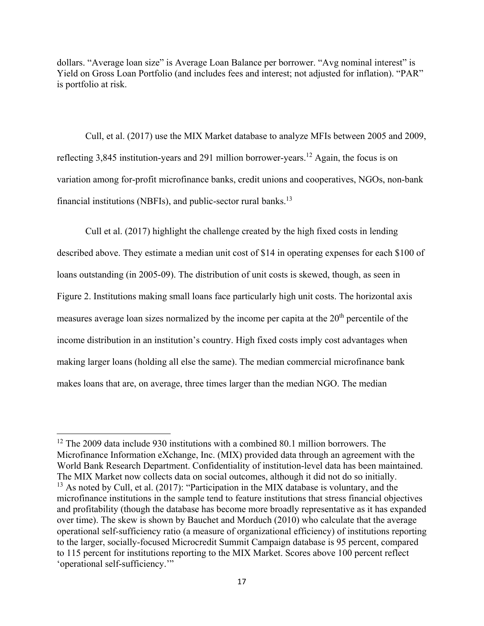dollars. "Average loan size" is Average Loan Balance per borrower. "Avg nominal interest" is Yield on Gross Loan Portfolio (and includes fees and interest; not adjusted for inflation). "PAR" is portfolio at risk.

Cull, et al. (2017) use the MIX Market database to analyze MFIs between 2005 and 2009, reflecting 3,845 institution-years and 291 million borrower-years.<sup>12</sup> Again, the focus is on variation among for-profit microfinance banks, credit unions and cooperatives, NGOs, non-bank financial institutions (NBFIs), and public-sector rural banks.<sup>13</sup>

Cull et al. (2017) highlight the challenge created by the high fixed costs in lending described above. They estimate a median unit cost of \$14 in operating expenses for each \$100 of loans outstanding (in 2005-09). The distribution of unit costs is skewed, though, as seen in Figure 2. Institutions making small loans face particularly high unit costs. The horizontal axis measures average loan sizes normalized by the income per capita at the  $20<sup>th</sup>$  percentile of the income distribution in an institution's country. High fixed costs imply cost advantages when making larger loans (holding all else the same). The median commercial microfinance bank makes loans that are, on average, three times larger than the median NGO. The median

 $\overline{\phantom{a}}$ 

<sup>&</sup>lt;sup>12</sup> The 2009 data include 930 institutions with a combined 80.1 million borrowers. The Microfinance Information eXchange, Inc. (MIX) provided data through an agreement with the World Bank Research Department. Confidentiality of institution-level data has been maintained. The MIX Market now collects data on social outcomes, although it did not do so initially.  $13$  As noted by Cull, et al. (2017): "Participation in the MIX database is voluntary, and the microfinance institutions in the sample tend to feature institutions that stress financial objectives and profitability (though the database has become more broadly representative as it has expanded over time). The skew is shown by Bauchet and Morduch (2010) who calculate that the average operational self-sufficiency ratio (a measure of organizational efficiency) of institutions reporting to the larger, socially-focused Microcredit Summit Campaign database is 95 percent, compared to 115 percent for institutions reporting to the MIX Market. Scores above 100 percent reflect 'operational self-sufficiency.'"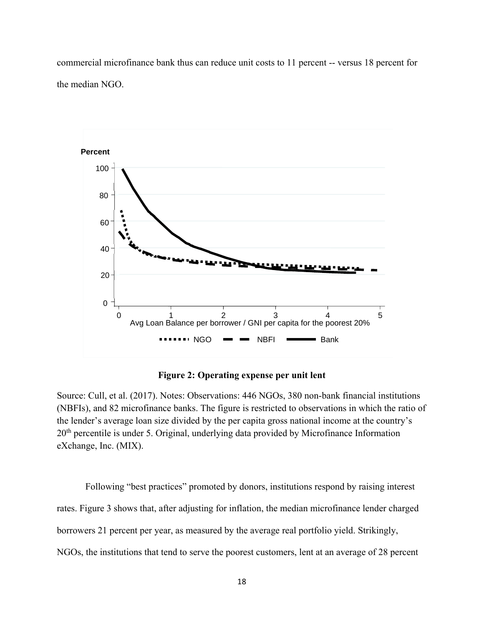commercial microfinance bank thus can reduce unit costs to 11 percent -- versus 18 percent for the median NGO.



**Figure 2: Operating expense per unit lent** 

Source: Cull, et al. (2017). Notes: Observations: 446 NGOs, 380 non-bank financial institutions (NBFIs), and 82 microfinance banks. The figure is restricted to observations in which the ratio of the lender's average loan size divided by the per capita gross national income at the country's 20<sup>th</sup> percentile is under 5. Original, underlying data provided by Microfinance Information eXchange, Inc. (MIX).

Following "best practices" promoted by donors, institutions respond by raising interest rates. Figure 3 shows that, after adjusting for inflation, the median microfinance lender charged borrowers 21 percent per year, as measured by the average real portfolio yield. Strikingly, NGOs, the institutions that tend to serve the poorest customers, lent at an average of 28 percent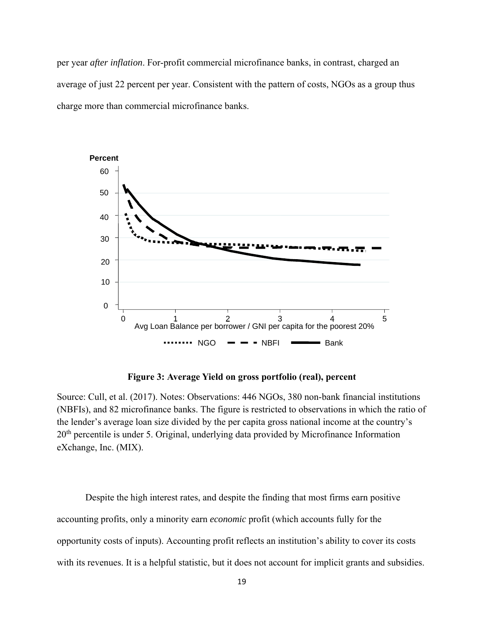per year *after inflation*. For-profit commercial microfinance banks, in contrast, charged an average of just 22 percent per year. Consistent with the pattern of costs, NGOs as a group thus charge more than commercial microfinance banks.



**Figure 3: Average Yield on gross portfolio (real), percent** 

Source: Cull, et al. (2017). Notes: Observations: 446 NGOs, 380 non-bank financial institutions (NBFIs), and 82 microfinance banks. The figure is restricted to observations in which the ratio of the lender's average loan size divided by the per capita gross national income at the country's 20<sup>th</sup> percentile is under 5. Original, underlying data provided by Microfinance Information eXchange, Inc. (MIX).

Despite the high interest rates, and despite the finding that most firms earn positive accounting profits, only a minority earn *economic* profit (which accounts fully for the opportunity costs of inputs). Accounting profit reflects an institution's ability to cover its costs with its revenues. It is a helpful statistic, but it does not account for implicit grants and subsidies.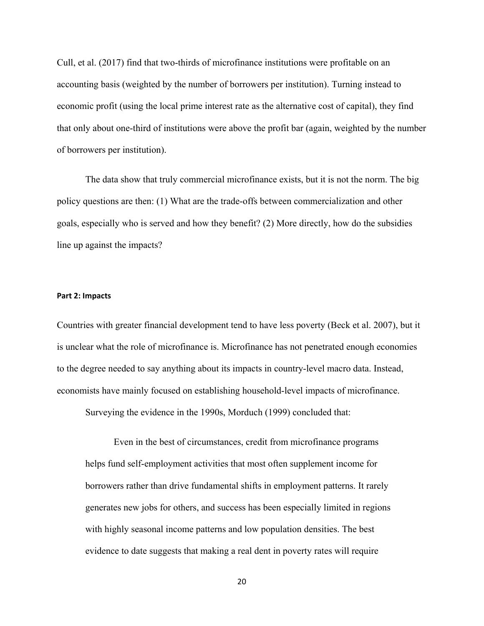Cull, et al. (2017) find that two-thirds of microfinance institutions were profitable on an accounting basis (weighted by the number of borrowers per institution). Turning instead to economic profit (using the local prime interest rate as the alternative cost of capital), they find that only about one-third of institutions were above the profit bar (again, weighted by the number of borrowers per institution).

The data show that truly commercial microfinance exists, but it is not the norm. The big policy questions are then: (1) What are the trade-offs between commercialization and other goals, especially who is served and how they benefit? (2) More directly, how do the subsidies line up against the impacts?

#### **Part 2: Impacts**

Countries with greater financial development tend to have less poverty (Beck et al. 2007), but it is unclear what the role of microfinance is. Microfinance has not penetrated enough economies to the degree needed to say anything about its impacts in country-level macro data. Instead, economists have mainly focused on establishing household-level impacts of microfinance.

Surveying the evidence in the 1990s, Morduch (1999) concluded that:

Even in the best of circumstances, credit from microfinance programs helps fund self-employment activities that most often supplement income for borrowers rather than drive fundamental shifts in employment patterns. It rarely generates new jobs for others, and success has been especially limited in regions with highly seasonal income patterns and low population densities. The best evidence to date suggests that making a real dent in poverty rates will require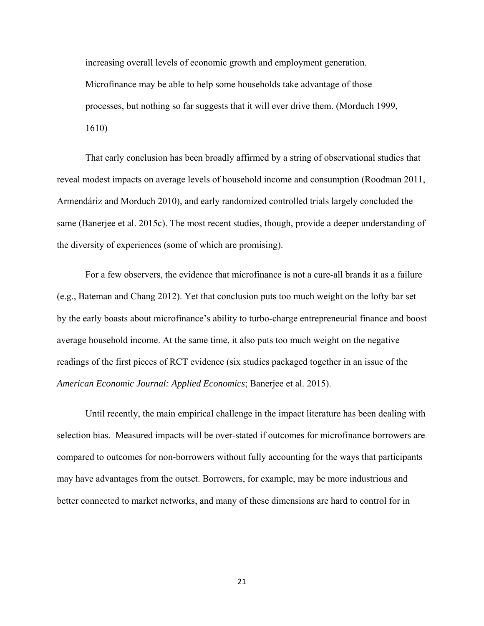increasing overall levels of economic growth and employment generation. Microfinance may be able to help some households take advantage of those processes, but nothing so far suggests that it will ever drive them. (Morduch 1999, 1610)

That early conclusion has been broadly affirmed by a string of observational studies that reveal modest impacts on average levels of household income and consumption (Roodman 2011, Armendáriz and Morduch 2010), and early randomized controlled trials largely concluded the same (Banerjee et al. 2015c). The most recent studies, though, provide a deeper understanding of the diversity of experiences (some of which are promising).

For a few observers, the evidence that microfinance is not a cure-all brands it as a failure (e.g., Bateman and Chang 2012). Yet that conclusion puts too much weight on the lofty bar set by the early boasts about microfinance's ability to turbo-charge entrepreneurial finance and boost average household income. At the same time, it also puts too much weight on the negative readings of the first pieces of RCT evidence (six studies packaged together in an issue of the *American Economic Journal: Applied Economics*; Banerjee et al. 2015).

Until recently, the main empirical challenge in the impact literature has been dealing with selection bias. Measured impacts will be over-stated if outcomes for microfinance borrowers are compared to outcomes for non-borrowers without fully accounting for the ways that participants may have advantages from the outset. Borrowers, for example, may be more industrious and better connected to market networks, and many of these dimensions are hard to control for in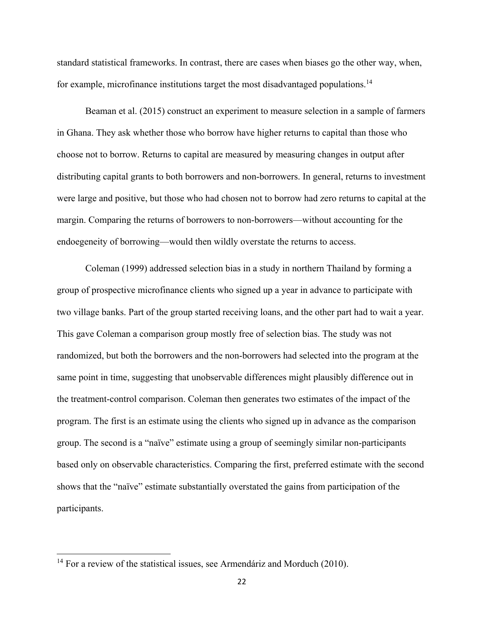standard statistical frameworks. In contrast, there are cases when biases go the other way, when, for example, microfinance institutions target the most disadvantaged populations.<sup>14</sup>

Beaman et al. (2015) construct an experiment to measure selection in a sample of farmers in Ghana. They ask whether those who borrow have higher returns to capital than those who choose not to borrow. Returns to capital are measured by measuring changes in output after distributing capital grants to both borrowers and non-borrowers. In general, returns to investment were large and positive, but those who had chosen not to borrow had zero returns to capital at the margin. Comparing the returns of borrowers to non-borrowers—without accounting for the endoegeneity of borrowing—would then wildly overstate the returns to access.

Coleman (1999) addressed selection bias in a study in northern Thailand by forming a group of prospective microfinance clients who signed up a year in advance to participate with two village banks. Part of the group started receiving loans, and the other part had to wait a year. This gave Coleman a comparison group mostly free of selection bias. The study was not randomized, but both the borrowers and the non-borrowers had selected into the program at the same point in time, suggesting that unobservable differences might plausibly difference out in the treatment-control comparison. Coleman then generates two estimates of the impact of the program. The first is an estimate using the clients who signed up in advance as the comparison group. The second is a "naïve" estimate using a group of seemingly similar non-participants based only on observable characteristics. Comparing the first, preferred estimate with the second shows that the "naïve" estimate substantially overstated the gains from participation of the participants.

 $\overline{\phantom{a}}$ 

<sup>&</sup>lt;sup>14</sup> For a review of the statistical issues, see Armendáriz and Morduch (2010).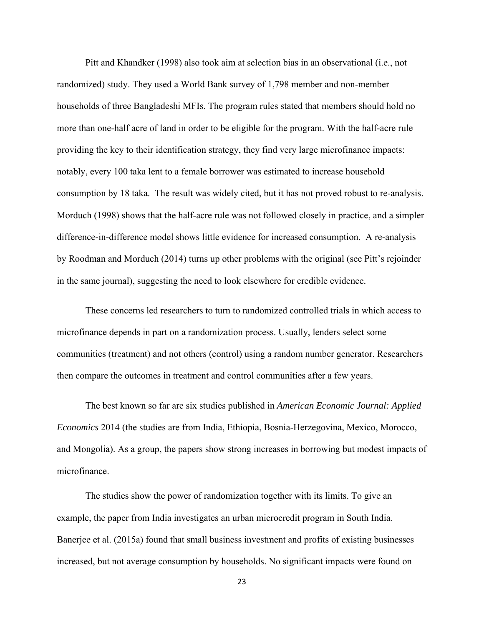Pitt and Khandker (1998) also took aim at selection bias in an observational (i.e., not randomized) study. They used a World Bank survey of 1,798 member and non-member households of three Bangladeshi MFIs. The program rules stated that members should hold no more than one-half acre of land in order to be eligible for the program. With the half-acre rule providing the key to their identification strategy, they find very large microfinance impacts: notably, every 100 taka lent to a female borrower was estimated to increase household consumption by 18 taka. The result was widely cited, but it has not proved robust to re-analysis. Morduch (1998) shows that the half-acre rule was not followed closely in practice, and a simpler difference-in-difference model shows little evidence for increased consumption. A re-analysis by Roodman and Morduch (2014) turns up other problems with the original (see Pitt's rejoinder in the same journal), suggesting the need to look elsewhere for credible evidence.

These concerns led researchers to turn to randomized controlled trials in which access to microfinance depends in part on a randomization process. Usually, lenders select some communities (treatment) and not others (control) using a random number generator. Researchers then compare the outcomes in treatment and control communities after a few years.

The best known so far are six studies published in *American Economic Journal: Applied Economics* 2014 (the studies are from India, Ethiopia, Bosnia-Herzegovina, Mexico, Morocco, and Mongolia). As a group, the papers show strong increases in borrowing but modest impacts of microfinance.

The studies show the power of randomization together with its limits. To give an example, the paper from India investigates an urban microcredit program in South India. Banerjee et al. (2015a) found that small business investment and profits of existing businesses increased, but not average consumption by households. No significant impacts were found on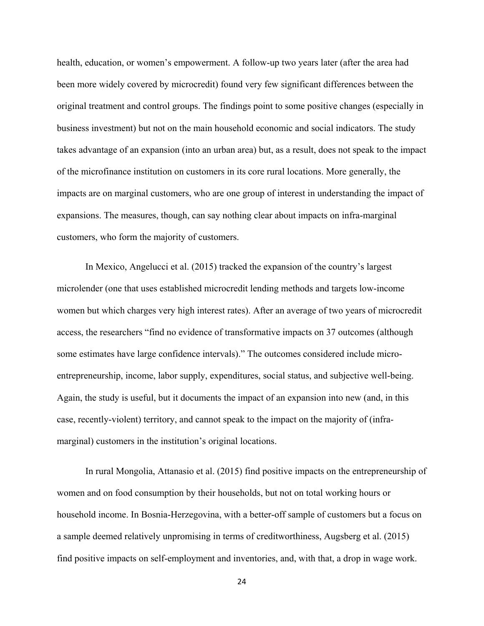health, education, or women's empowerment. A follow-up two years later (after the area had been more widely covered by microcredit) found very few significant differences between the original treatment and control groups. The findings point to some positive changes (especially in business investment) but not on the main household economic and social indicators. The study takes advantage of an expansion (into an urban area) but, as a result, does not speak to the impact of the microfinance institution on customers in its core rural locations. More generally, the impacts are on marginal customers, who are one group of interest in understanding the impact of expansions. The measures, though, can say nothing clear about impacts on infra-marginal customers, who form the majority of customers.

In Mexico, Angelucci et al. (2015) tracked the expansion of the country's largest microlender (one that uses established microcredit lending methods and targets low-income women but which charges very high interest rates). After an average of two years of microcredit access, the researchers "find no evidence of transformative impacts on 37 outcomes (although some estimates have large confidence intervals)." The outcomes considered include microentrepreneurship, income, labor supply, expenditures, social status, and subjective well-being. Again, the study is useful, but it documents the impact of an expansion into new (and, in this case, recently-violent) territory, and cannot speak to the impact on the majority of (inframarginal) customers in the institution's original locations.

In rural Mongolia, Attanasio et al. (2015) find positive impacts on the entrepreneurship of women and on food consumption by their households, but not on total working hours or household income. In Bosnia-Herzegovina, with a better-off sample of customers but a focus on a sample deemed relatively unpromising in terms of creditworthiness, Augsberg et al. (2015) find positive impacts on self-employment and inventories, and, with that, a drop in wage work.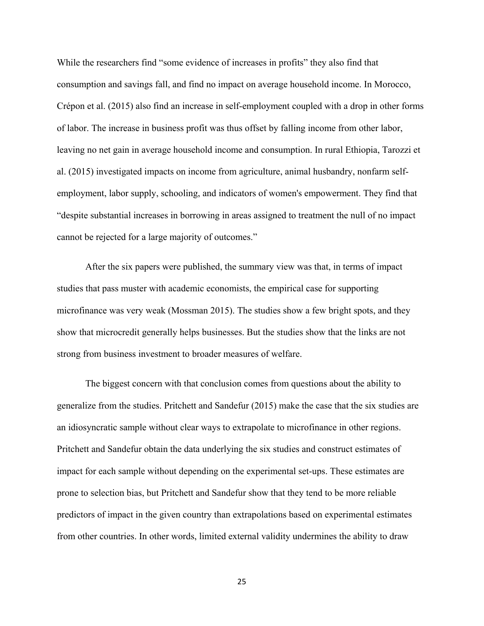While the researchers find "some evidence of increases in profits" they also find that consumption and savings fall, and find no impact on average household income. In Morocco, Crépon et al. (2015) also find an increase in self-employment coupled with a drop in other forms of labor. The increase in business profit was thus offset by falling income from other labor, leaving no net gain in average household income and consumption. In rural Ethiopia, Tarozzi et al. (2015) investigated impacts on income from agriculture, animal husbandry, nonfarm selfemployment, labor supply, schooling, and indicators of women's empowerment. They find that "despite substantial increases in borrowing in areas assigned to treatment the null of no impact cannot be rejected for a large majority of outcomes."

After the six papers were published, the summary view was that, in terms of impact studies that pass muster with academic economists, the empirical case for supporting microfinance was very weak (Mossman 2015). The studies show a few bright spots, and they show that microcredit generally helps businesses. But the studies show that the links are not strong from business investment to broader measures of welfare.

The biggest concern with that conclusion comes from questions about the ability to generalize from the studies. Pritchett and Sandefur (2015) make the case that the six studies are an idiosyncratic sample without clear ways to extrapolate to microfinance in other regions. Pritchett and Sandefur obtain the data underlying the six studies and construct estimates of impact for each sample without depending on the experimental set-ups. These estimates are prone to selection bias, but Pritchett and Sandefur show that they tend to be more reliable predictors of impact in the given country than extrapolations based on experimental estimates from other countries. In other words, limited external validity undermines the ability to draw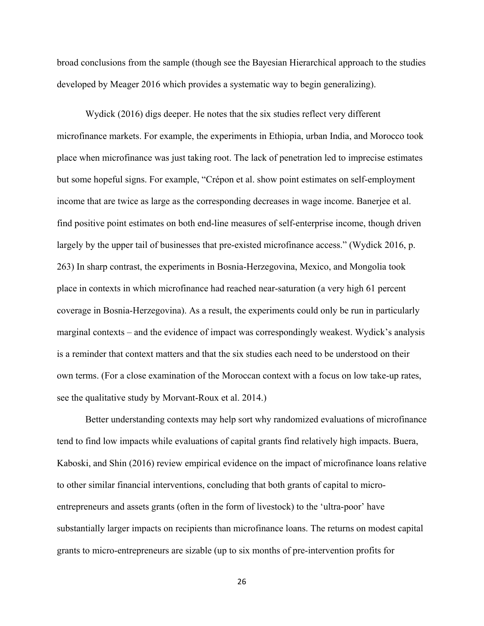broad conclusions from the sample (though see the Bayesian Hierarchical approach to the studies developed by Meager 2016 which provides a systematic way to begin generalizing).

Wydick (2016) digs deeper. He notes that the six studies reflect very different microfinance markets. For example, the experiments in Ethiopia, urban India, and Morocco took place when microfinance was just taking root. The lack of penetration led to imprecise estimates but some hopeful signs. For example, "Crépon et al. show point estimates on self-employment income that are twice as large as the corresponding decreases in wage income. Banerjee et al. find positive point estimates on both end-line measures of self-enterprise income, though driven largely by the upper tail of businesses that pre-existed microfinance access." (Wydick 2016, p. 263) In sharp contrast, the experiments in Bosnia-Herzegovina, Mexico, and Mongolia took place in contexts in which microfinance had reached near-saturation (a very high 61 percent coverage in Bosnia-Herzegovina). As a result, the experiments could only be run in particularly marginal contexts – and the evidence of impact was correspondingly weakest. Wydick's analysis is a reminder that context matters and that the six studies each need to be understood on their own terms. (For a close examination of the Moroccan context with a focus on low take-up rates, see the qualitative study by Morvant-Roux et al. 2014.)

Better understanding contexts may help sort why randomized evaluations of microfinance tend to find low impacts while evaluations of capital grants find relatively high impacts. Buera, Kaboski, and Shin (2016) review empirical evidence on the impact of microfinance loans relative to other similar financial interventions, concluding that both grants of capital to microentrepreneurs and assets grants (often in the form of livestock) to the 'ultra-poor' have substantially larger impacts on recipients than microfinance loans. The returns on modest capital grants to micro-entrepreneurs are sizable (up to six months of pre-intervention profits for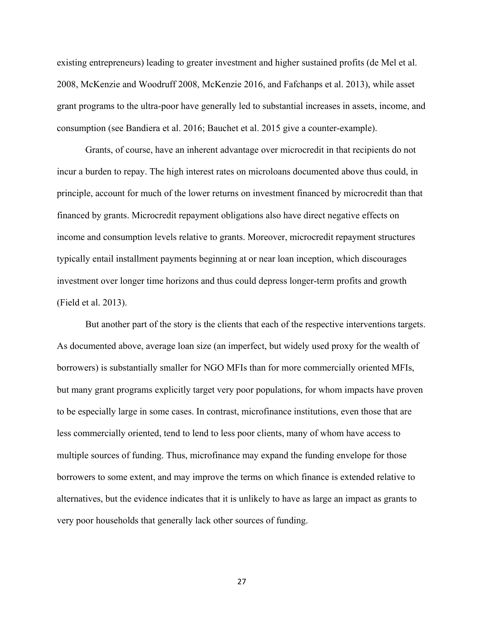existing entrepreneurs) leading to greater investment and higher sustained profits (de Mel et al. 2008, McKenzie and Woodruff 2008, McKenzie 2016, and Fafchanps et al. 2013), while asset grant programs to the ultra-poor have generally led to substantial increases in assets, income, and consumption (see Bandiera et al. 2016; Bauchet et al. 2015 give a counter-example).

Grants, of course, have an inherent advantage over microcredit in that recipients do not incur a burden to repay. The high interest rates on microloans documented above thus could, in principle, account for much of the lower returns on investment financed by microcredit than that financed by grants. Microcredit repayment obligations also have direct negative effects on income and consumption levels relative to grants. Moreover, microcredit repayment structures typically entail installment payments beginning at or near loan inception, which discourages investment over longer time horizons and thus could depress longer-term profits and growth (Field et al. 2013).

But another part of the story is the clients that each of the respective interventions targets. As documented above, average loan size (an imperfect, but widely used proxy for the wealth of borrowers) is substantially smaller for NGO MFIs than for more commercially oriented MFIs, but many grant programs explicitly target very poor populations, for whom impacts have proven to be especially large in some cases. In contrast, microfinance institutions, even those that are less commercially oriented, tend to lend to less poor clients, many of whom have access to multiple sources of funding. Thus, microfinance may expand the funding envelope for those borrowers to some extent, and may improve the terms on which finance is extended relative to alternatives, but the evidence indicates that it is unlikely to have as large an impact as grants to very poor households that generally lack other sources of funding.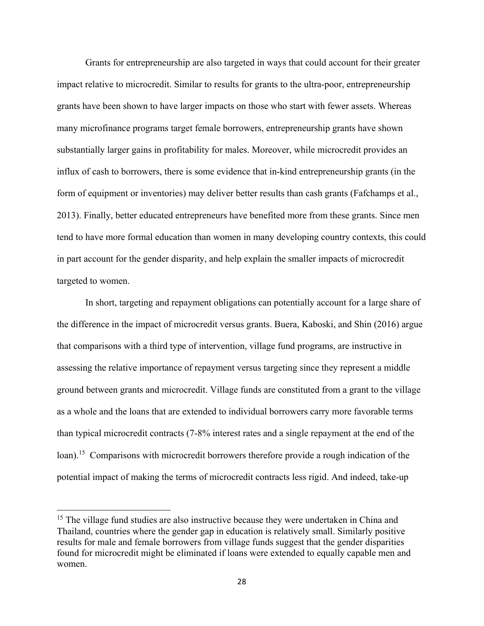Grants for entrepreneurship are also targeted in ways that could account for their greater impact relative to microcredit. Similar to results for grants to the ultra-poor, entrepreneurship grants have been shown to have larger impacts on those who start with fewer assets. Whereas many microfinance programs target female borrowers, entrepreneurship grants have shown substantially larger gains in profitability for males. Moreover, while microcredit provides an influx of cash to borrowers, there is some evidence that in-kind entrepreneurship grants (in the form of equipment or inventories) may deliver better results than cash grants (Fafchamps et al., 2013). Finally, better educated entrepreneurs have benefited more from these grants. Since men tend to have more formal education than women in many developing country contexts, this could in part account for the gender disparity, and help explain the smaller impacts of microcredit targeted to women.

 In short, targeting and repayment obligations can potentially account for a large share of the difference in the impact of microcredit versus grants. Buera, Kaboski, and Shin (2016) argue that comparisons with a third type of intervention, village fund programs, are instructive in assessing the relative importance of repayment versus targeting since they represent a middle ground between grants and microcredit. Village funds are constituted from a grant to the village as a whole and the loans that are extended to individual borrowers carry more favorable terms than typical microcredit contracts (7-8% interest rates and a single repayment at the end of the loan).<sup>15</sup> Comparisons with microcredit borrowers therefore provide a rough indication of the potential impact of making the terms of microcredit contracts less rigid. And indeed, take-up

 $\overline{\phantom{a}}$ 

<sup>&</sup>lt;sup>15</sup> The village fund studies are also instructive because they were undertaken in China and Thailand, countries where the gender gap in education is relatively small. Similarly positive results for male and female borrowers from village funds suggest that the gender disparities found for microcredit might be eliminated if loans were extended to equally capable men and women.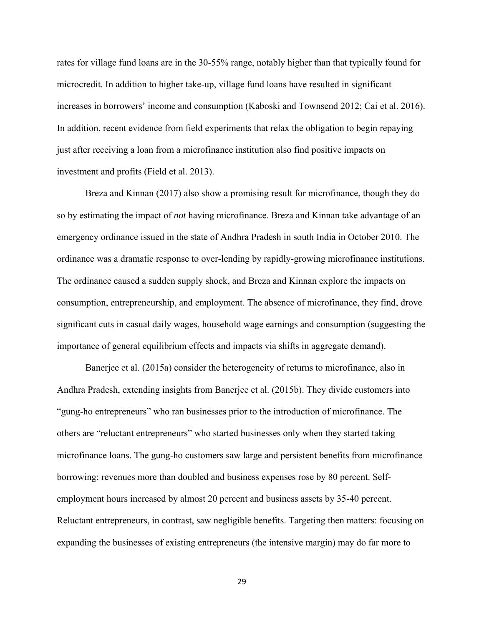rates for village fund loans are in the 30-55% range, notably higher than that typically found for microcredit. In addition to higher take-up, village fund loans have resulted in significant increases in borrowers' income and consumption (Kaboski and Townsend 2012; Cai et al. 2016). In addition, recent evidence from field experiments that relax the obligation to begin repaying just after receiving a loan from a microfinance institution also find positive impacts on investment and profits (Field et al. 2013).

 Breza and Kinnan (2017) also show a promising result for microfinance, though they do so by estimating the impact of *not* having microfinance. Breza and Kinnan take advantage of an emergency ordinance issued in the state of Andhra Pradesh in south India in October 2010. The ordinance was a dramatic response to over-lending by rapidly-growing microfinance institutions. The ordinance caused a sudden supply shock, and Breza and Kinnan explore the impacts on consumption, entrepreneurship, and employment. The absence of microfinance, they find, drove significant cuts in casual daily wages, household wage earnings and consumption (suggesting the importance of general equilibrium effects and impacts via shifts in aggregate demand).

 Banerjee et al. (2015a) consider the heterogeneity of returns to microfinance, also in Andhra Pradesh, extending insights from Banerjee et al. (2015b). They divide customers into "gung-ho entrepreneurs" who ran businesses prior to the introduction of microfinance. The others are "reluctant entrepreneurs" who started businesses only when they started taking microfinance loans. The gung-ho customers saw large and persistent benefits from microfinance borrowing: revenues more than doubled and business expenses rose by 80 percent. Selfemployment hours increased by almost 20 percent and business assets by 35-40 percent. Reluctant entrepreneurs, in contrast, saw negligible benefits. Targeting then matters: focusing on expanding the businesses of existing entrepreneurs (the intensive margin) may do far more to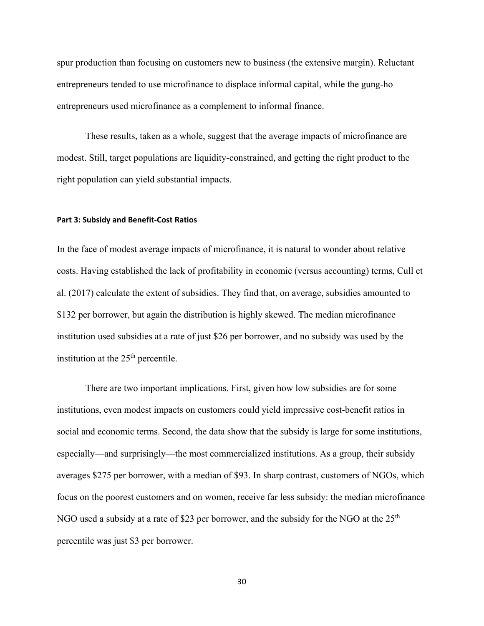spur production than focusing on customers new to business (the extensive margin). Reluctant entrepreneurs tended to use microfinance to displace informal capital, while the gung-ho entrepreneurs used microfinance as a complement to informal finance.

 These results, taken as a whole, suggest that the average impacts of microfinance are modest. Still, target populations are liquidity-constrained, and getting the right product to the right population can yield substantial impacts.

#### **Part 3: Subsidy and Benefit-Cost Ratios**

In the face of modest average impacts of microfinance, it is natural to wonder about relative costs. Having established the lack of profitability in economic (versus accounting) terms, Cull et al. (2017) calculate the extent of subsidies. They find that, on average, subsidies amounted to \$132 per borrower, but again the distribution is highly skewed. The median microfinance institution used subsidies at a rate of just \$26 per borrower, and no subsidy was used by the institution at the  $25<sup>th</sup>$  percentile.

There are two important implications. First, given how low subsidies are for some institutions, even modest impacts on customers could yield impressive cost-benefit ratios in social and economic terms. Second, the data show that the subsidy is large for some institutions, especially—and surprisingly—the most commercialized institutions. As a group, their subsidy averages \$275 per borrower, with a median of \$93. In sharp contrast, customers of NGOs, which focus on the poorest customers and on women, receive far less subsidy: the median microfinance NGO used a subsidy at a rate of \$23 per borrower, and the subsidy for the NGO at the  $25<sup>th</sup>$ percentile was just \$3 per borrower.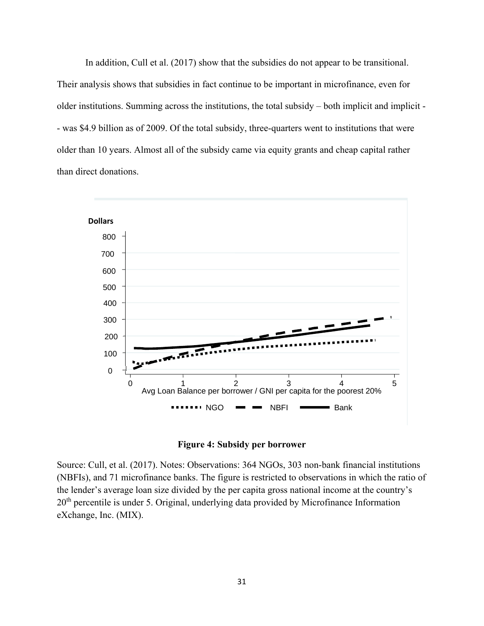In addition, Cull et al. (2017) show that the subsidies do not appear to be transitional. Their analysis shows that subsidies in fact continue to be important in microfinance, even for older institutions. Summing across the institutions, the total subsidy – both implicit and implicit - - was \$4.9 billion as of 2009. Of the total subsidy, three-quarters went to institutions that were older than 10 years. Almost all of the subsidy came via equity grants and cheap capital rather than direct donations.





Source: Cull, et al. (2017). Notes: Observations: 364 NGOs, 303 non-bank financial institutions (NBFIs), and 71 microfinance banks. The figure is restricted to observations in which the ratio of the lender's average loan size divided by the per capita gross national income at the country's  $20<sup>th</sup>$  percentile is under 5. Original, underlying data provided by Microfinance Information eXchange, Inc. (MIX).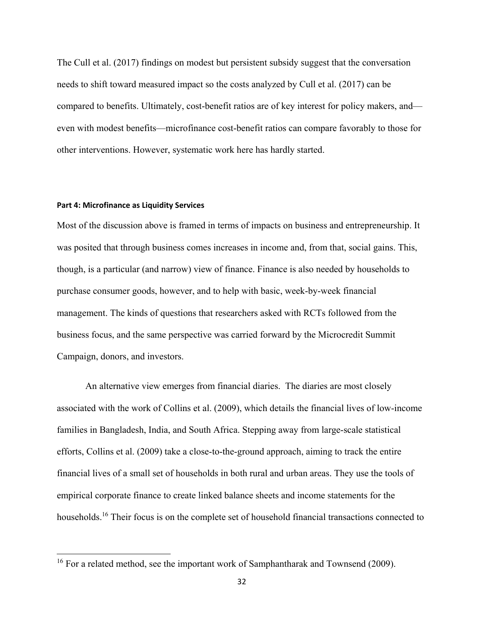The Cull et al. (2017) findings on modest but persistent subsidy suggest that the conversation needs to shift toward measured impact so the costs analyzed by Cull et al. (2017) can be compared to benefits. Ultimately, cost-benefit ratios are of key interest for policy makers, and even with modest benefits—microfinance cost-benefit ratios can compare favorably to those for other interventions. However, systematic work here has hardly started.

#### **Part 4: Microfinance as Liquidity Services**

 $\overline{\phantom{a}}$ 

Most of the discussion above is framed in terms of impacts on business and entrepreneurship. It was posited that through business comes increases in income and, from that, social gains. This, though, is a particular (and narrow) view of finance. Finance is also needed by households to purchase consumer goods, however, and to help with basic, week-by-week financial management. The kinds of questions that researchers asked with RCTs followed from the business focus, and the same perspective was carried forward by the Microcredit Summit Campaign, donors, and investors.

An alternative view emerges from financial diaries. The diaries are most closely associated with the work of Collins et al. (2009), which details the financial lives of low-income families in Bangladesh, India, and South Africa. Stepping away from large-scale statistical efforts, Collins et al. (2009) take a close-to-the-ground approach, aiming to track the entire financial lives of a small set of households in both rural and urban areas. They use the tools of empirical corporate finance to create linked balance sheets and income statements for the households.<sup>16</sup> Their focus is on the complete set of household financial transactions connected to

<sup>&</sup>lt;sup>16</sup> For a related method, see the important work of Samphantharak and Townsend (2009).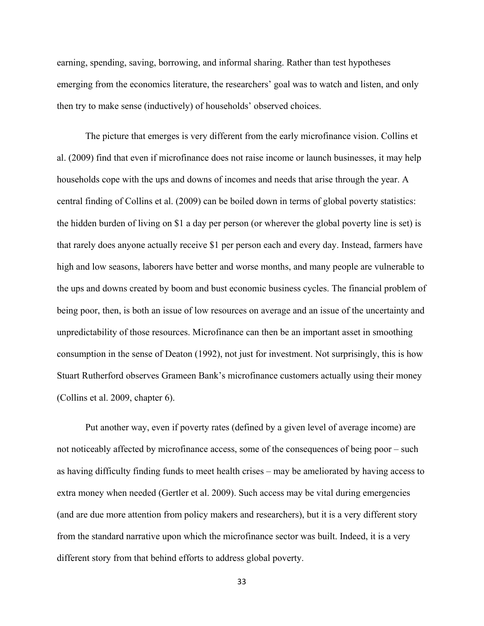earning, spending, saving, borrowing, and informal sharing. Rather than test hypotheses emerging from the economics literature, the researchers' goal was to watch and listen, and only then try to make sense (inductively) of households' observed choices.

The picture that emerges is very different from the early microfinance vision. Collins et al. (2009) find that even if microfinance does not raise income or launch businesses, it may help households cope with the ups and downs of incomes and needs that arise through the year. A central finding of Collins et al. (2009) can be boiled down in terms of global poverty statistics: the hidden burden of living on \$1 a day per person (or wherever the global poverty line is set) is that rarely does anyone actually receive \$1 per person each and every day. Instead, farmers have high and low seasons, laborers have better and worse months, and many people are vulnerable to the ups and downs created by boom and bust economic business cycles. The financial problem of being poor, then, is both an issue of low resources on average and an issue of the uncertainty and unpredictability of those resources. Microfinance can then be an important asset in smoothing consumption in the sense of Deaton (1992), not just for investment. Not surprisingly, this is how Stuart Rutherford observes Grameen Bank's microfinance customers actually using their money (Collins et al. 2009, chapter 6).

Put another way, even if poverty rates (defined by a given level of average income) are not noticeably affected by microfinance access, some of the consequences of being poor – such as having difficulty finding funds to meet health crises – may be ameliorated by having access to extra money when needed (Gertler et al. 2009). Such access may be vital during emergencies (and are due more attention from policy makers and researchers), but it is a very different story from the standard narrative upon which the microfinance sector was built. Indeed, it is a very different story from that behind efforts to address global poverty.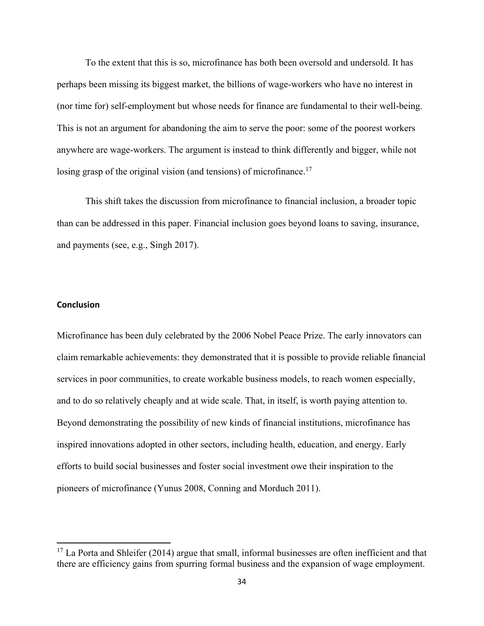To the extent that this is so, microfinance has both been oversold and undersold. It has perhaps been missing its biggest market, the billions of wage-workers who have no interest in (nor time for) self-employment but whose needs for finance are fundamental to their well-being. This is not an argument for abandoning the aim to serve the poor: some of the poorest workers anywhere are wage-workers. The argument is instead to think differently and bigger, while not losing grasp of the original vision (and tensions) of microfinance.<sup>17</sup>

This shift takes the discussion from microfinance to financial inclusion, a broader topic than can be addressed in this paper. Financial inclusion goes beyond loans to saving, insurance, and payments (see, e.g., Singh 2017).

#### **Conclusion**

 $\overline{\phantom{a}}$ 

Microfinance has been duly celebrated by the 2006 Nobel Peace Prize. The early innovators can claim remarkable achievements: they demonstrated that it is possible to provide reliable financial services in poor communities, to create workable business models, to reach women especially, and to do so relatively cheaply and at wide scale. That, in itself, is worth paying attention to. Beyond demonstrating the possibility of new kinds of financial institutions, microfinance has inspired innovations adopted in other sectors, including health, education, and energy. Early efforts to build social businesses and foster social investment owe their inspiration to the pioneers of microfinance (Yunus 2008, Conning and Morduch 2011).

 $17$  La Porta and Shleifer (2014) argue that small, informal businesses are often inefficient and that there are efficiency gains from spurring formal business and the expansion of wage employment.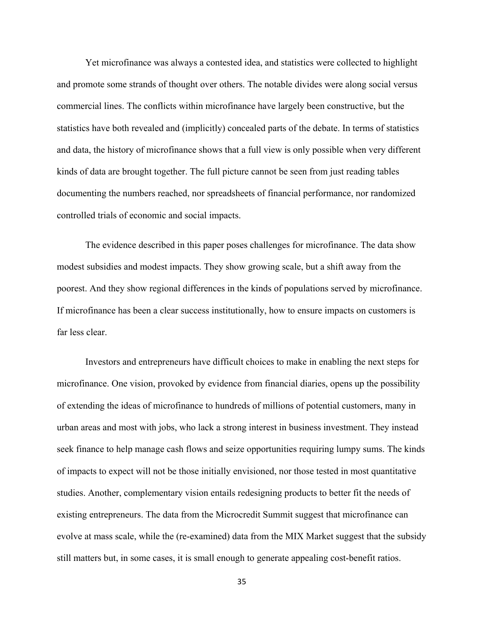Yet microfinance was always a contested idea, and statistics were collected to highlight and promote some strands of thought over others. The notable divides were along social versus commercial lines. The conflicts within microfinance have largely been constructive, but the statistics have both revealed and (implicitly) concealed parts of the debate. In terms of statistics and data, the history of microfinance shows that a full view is only possible when very different kinds of data are brought together. The full picture cannot be seen from just reading tables documenting the numbers reached, nor spreadsheets of financial performance, nor randomized controlled trials of economic and social impacts.

The evidence described in this paper poses challenges for microfinance. The data show modest subsidies and modest impacts. They show growing scale, but a shift away from the poorest. And they show regional differences in the kinds of populations served by microfinance. If microfinance has been a clear success institutionally, how to ensure impacts on customers is far less clear.

Investors and entrepreneurs have difficult choices to make in enabling the next steps for microfinance. One vision, provoked by evidence from financial diaries, opens up the possibility of extending the ideas of microfinance to hundreds of millions of potential customers, many in urban areas and most with jobs, who lack a strong interest in business investment. They instead seek finance to help manage cash flows and seize opportunities requiring lumpy sums. The kinds of impacts to expect will not be those initially envisioned, nor those tested in most quantitative studies. Another, complementary vision entails redesigning products to better fit the needs of existing entrepreneurs. The data from the Microcredit Summit suggest that microfinance can evolve at mass scale, while the (re-examined) data from the MIX Market suggest that the subsidy still matters but, in some cases, it is small enough to generate appealing cost-benefit ratios.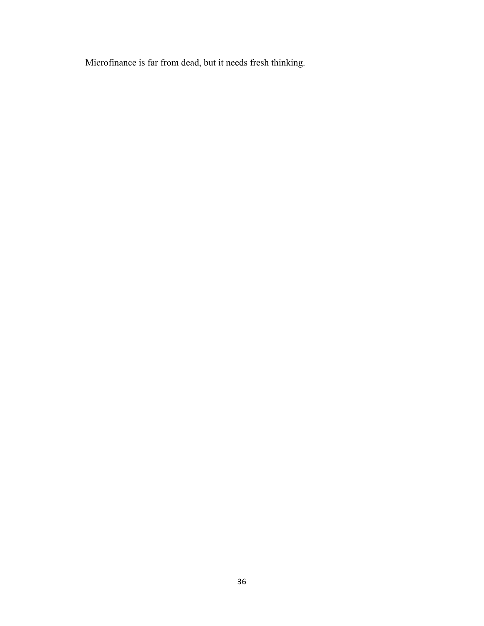Microfinance is far from dead, but it needs fresh thinking.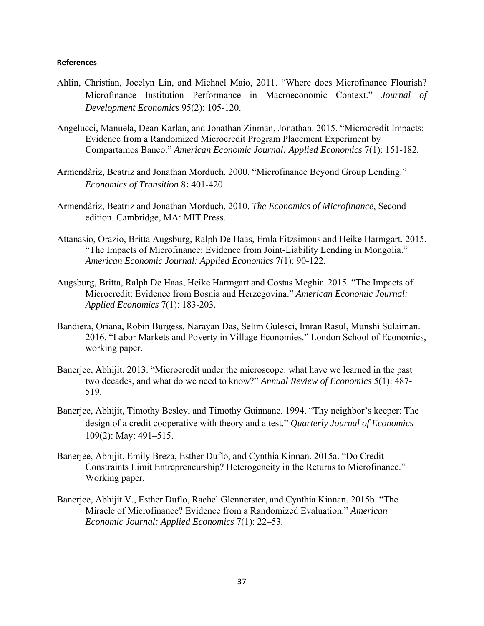#### **References**

- Ahlin, Christian, Jocelyn Lin, and Michael Maio, 2011. "Where does Microfinance Flourish? Microfinance Institution Performance in Macroeconomic Context." *Journal of Development Economics* 95(2): 105-120.
- Angelucci, Manuela, Dean Karlan, and Jonathan Zinman, Jonathan. 2015. "Microcredit Impacts: Evidence from a Randomized Microcredit Program Placement Experiment by Compartamos Banco." *American Economic Journal: Applied Economics* 7(1): 151-182*.*
- Armendàriz, Beatriz and Jonathan Morduch. 2000. "Microfinance Beyond Group Lending." *Economics of Transition* 8**:** 401-420.
- Armendàriz, Beatriz and Jonathan Morduch. 2010. *The Economics of Microfinance*, Second edition. Cambridge, MA: MIT Press.
- Attanasio, Orazio, Britta Augsburg, Ralph De Haas, Emla Fitzsimons and Heike Harmgart. 2015. "The Impacts of Microfinance: Evidence from Joint-Liability Lending in Mongolia." *American Economic Journal: Applied Economics* 7(1): 90-122*.*
- Augsburg, Britta, Ralph De Haas, Heike Harmgart and Costas Meghir. 2015. "The Impacts of Microcredit: Evidence from Bosnia and Herzegovina." *American Economic Journal: Applied Economics* 7(1): 183-203*.*
- Bandiera, Oriana, Robin Burgess, Narayan Das, Selim Gulesci, Imran Rasul, Munshi Sulaiman. 2016. "Labor Markets and Poverty in Village Economies." London School of Economics, working paper.
- Banerjee, Abhijit. 2013. "Microcredit under the microscope: what have we learned in the past two decades, and what do we need to know?" *Annual Review of Economics* 5(1): 487- 519.
- Banerjee, Abhijit, Timothy Besley, and Timothy Guinnane. 1994. "Thy neighbor's keeper: The design of a credit cooperative with theory and a test." *Quarterly Journal of Economics*  109(2): May: 491–515.
- Banerjee, Abhijit, Emily Breza, Esther Duflo, and Cynthia Kinnan. 2015a. "Do Credit Constraints Limit Entrepreneurship? Heterogeneity in the Returns to Microfinance." Working paper.
- Banerjee, Abhijit V., Esther Duflo, Rachel Glennerster, and Cynthia Kinnan. 2015b. "The Miracle of Microfinance? Evidence from a Randomized Evaluation." *American Economic Journal: Applied Economics* 7(1): 22–53*.*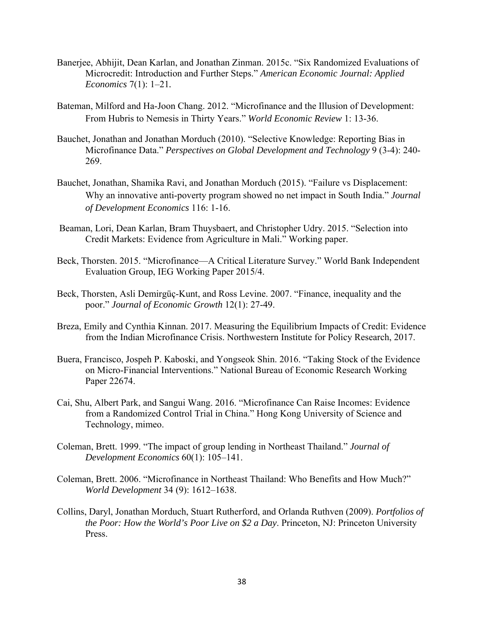- Banerjee, Abhijit, Dean Karlan, and Jonathan Zinman. 2015c. "Six Randomized Evaluations of Microcredit: Introduction and Further Steps." *American Economic Journal: Applied Economics* 7(1): 1–21*.*
- Bateman, Milford and Ha-Joon Chang. 2012. "Microfinance and the Illusion of Development: From Hubris to Nemesis in Thirty Years." *World Economic Review* 1: 13-36.
- Bauchet, Jonathan and Jonathan Morduch (2010). "Selective Knowledge: Reporting Bias in Microfinance Data." *Perspectives on Global Development and Technology* 9 (3-4): 240- 269.
- Bauchet, Jonathan, Shamika Ravi, and Jonathan Morduch (2015). "Failure vs Displacement: Why an innovative anti-poverty program showed no net impact in South India." *Journal of Development Economics* 116: 1-16.
- Beaman, Lori, Dean Karlan, Bram Thuysbaert, and Christopher Udry. 2015. "Selection into Credit Markets: Evidence from Agriculture in Mali." Working paper.
- Beck, Thorsten. 2015. "Microfinance—A Critical Literature Survey." World Bank Independent Evaluation Group, IEG Working Paper 2015/4.
- Beck, Thorsten, Asli Demirgüç-Kunt, and Ross Levine. 2007. "Finance, inequality and the poor." *Journal of Economic Growth* 12(1): 27-49.
- Breza, Emily and Cynthia Kinnan. 2017. Measuring the Equilibrium Impacts of Credit: Evidence from the Indian Microfinance Crisis. Northwestern Institute for Policy Research, 2017.
- Buera, Francisco, Jospeh P. Kaboski, and Yongseok Shin. 2016. "Taking Stock of the Evidence on Micro-Financial Interventions." National Bureau of Economic Research Working Paper 22674.
- Cai, Shu, Albert Park, and Sangui Wang. 2016. "Microfinance Can Raise Incomes: Evidence from a Randomized Control Trial in China." Hong Kong University of Science and Technology, mimeo.
- Coleman, Brett. 1999. "The impact of group lending in Northeast Thailand." *Journal of Development Economics* 60(1): 105–141.
- Coleman, Brett. 2006. "Microfinance in Northeast Thailand: Who Benefits and How Much?" *World Development* 34 (9): 1612–1638.
- Collins, Daryl, Jonathan Morduch, Stuart Rutherford, and Orlanda Ruthven (2009). *Portfolios of the Poor: How the World's Poor Live on \$2 a Day*. Princeton, NJ: Princeton University Press.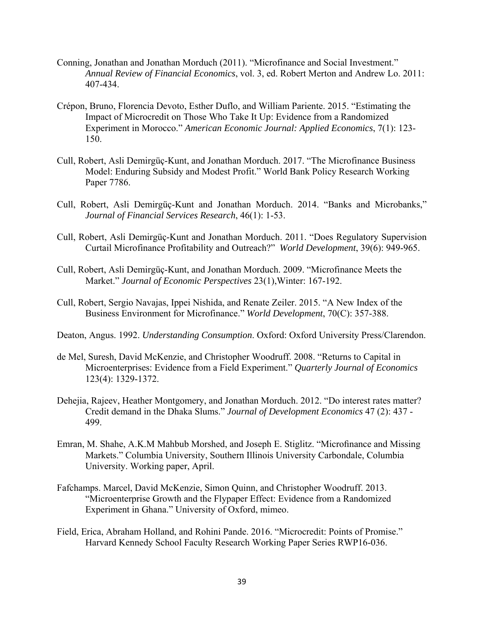- Conning, Jonathan and Jonathan Morduch (2011). "Microfinance and Social Investment." *Annual Review of Financial Economics*, vol. 3, ed. Robert Merton and Andrew Lo. 2011: 407-434.
- Crépon, Bruno, Florencia Devoto, Esther Duflo, and William Pariente. 2015. "Estimating the Impact of Microcredit on Those Who Take It Up: Evidence from a Randomized Experiment in Morocco." *American Economic Journal: Applied Economics*, 7(1): 123- 150.
- Cull, Robert, Asli Demirgüç-Kunt, and Jonathan Morduch. 2017. "The Microfinance Business Model: Enduring Subsidy and Modest Profit." World Bank Policy Research Working Paper 7786.
- Cull, Robert, Asli Demirgüç-Kunt and Jonathan Morduch. 2014. "Banks and Microbanks," *Journal of Financial Services Research*, 46(1): 1-53.
- Cull, Robert, Asli Demirgüç-Kunt and Jonathan Morduch. 2011. "Does Regulatory Supervision Curtail Microfinance Profitability and Outreach?" *World Development*, 39(6): 949-965.
- Cull, Robert, Asli Demirgüç-Kunt, and Jonathan Morduch. 2009. "Microfinance Meets the Market." *Journal of Economic Perspectives* 23(1),Winter: 167-192.
- Cull, Robert, Sergio Navajas, Ippei Nishida, and Renate Zeiler. 2015. "A New Index of the Business Environment for Microfinance." *World Development*, 70(C): 357-388.
- Deaton, Angus. 1992. *Understanding Consumption*. Oxford: Oxford University Press/Clarendon.
- de Mel, Suresh, David McKenzie, and Christopher Woodruff. 2008. "Returns to Capital in Microenterprises: Evidence from a Field Experiment." *Quarterly Journal of Economics*  123(4): 1329-1372.
- Dehejia, Rajeev, Heather Montgomery, and Jonathan Morduch. 2012. "Do interest rates matter? Credit demand in the Dhaka Slums." *Journal of Development Economics* 47 (2): 437 - 499.
- Emran, M. Shahe, A.K.M Mahbub Morshed, and Joseph E. Stiglitz. "Microfinance and Missing Markets." Columbia University, Southern Illinois University Carbondale, Columbia University. Working paper, April.
- Fafchamps. Marcel, David McKenzie, Simon Quinn, and Christopher Woodruff. 2013. "Microenterprise Growth and the Flypaper Effect: Evidence from a Randomized Experiment in Ghana." University of Oxford, mimeo.
- Field, Erica, Abraham Holland, and Rohini Pande. 2016. "Microcredit: Points of Promise." Harvard Kennedy School Faculty Research Working Paper Series RWP16-036.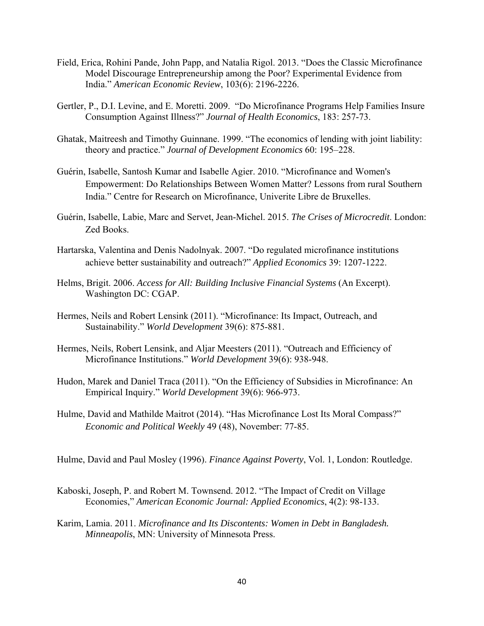- Field, Erica, Rohini Pande, John Papp, and Natalia Rigol. 2013. "Does the Classic Microfinance Model Discourage Entrepreneurship among the Poor? Experimental Evidence from India." *American Economic Review*, 103(6): 2196-2226.
- Gertler, P., D.I. Levine, and E. Moretti. 2009. "Do Microfinance Programs Help Families Insure Consumption Against Illness?" *Journal of Health Economics*, 183: 257-73.
- Ghatak, Maitreesh and Timothy Guinnane. 1999. "The economics of lending with joint liability: theory and practice." *Journal of Development Economics* 60: 195–228.
- Guérin, Isabelle, Santosh Kumar and Isabelle Agier. 2010. "Microfinance and Women's Empowerment: Do Relationships Between Women Matter? Lessons from rural Southern India." Centre for Research on Microfinance, Univerite Libre de Bruxelles.
- Guérin, Isabelle, Labie, Marc and Servet, Jean-Michel. 2015. *The Crises of Microcredit*. London: Zed Books.
- Hartarska, Valentina and Denis Nadolnyak. 2007. "Do regulated microfinance institutions achieve better sustainability and outreach?" *Applied Economics* 39: 1207-1222.
- Helms, Brigit. 2006. *Access for All: Building Inclusive Financial Systems* (An Excerpt). Washington DC: CGAP.
- Hermes, Neils and Robert Lensink (2011). "Microfinance: Its Impact, Outreach, and Sustainability." *World Development* 39(6): 875-881.
- Hermes, Neils, Robert Lensink, and Aljar Meesters (2011). "Outreach and Efficiency of Microfinance Institutions." *World Development* 39(6): 938-948.
- Hudon, Marek and Daniel Traca (2011). "On the Efficiency of Subsidies in Microfinance: An Empirical Inquiry." *World Development* 39(6): 966-973.
- Hulme, David and Mathilde Maitrot (2014). "Has Microfinance Lost Its Moral Compass?" *Economic and Political Weekly* 49 (48), November: 77-85.

Hulme, David and Paul Mosley (1996). *Finance Against Poverty*, Vol. 1, London: Routledge.

- Kaboski, Joseph, P. and Robert M. Townsend. 2012. "The Impact of Credit on Village Economies," *American Economic Journal: Applied Economics*, 4(2): 98-133.
- Karim, Lamia. 2011. *Microfinance and Its Discontents: Women in Debt in Bangladesh. Minneapolis*, MN: University of Minnesota Press.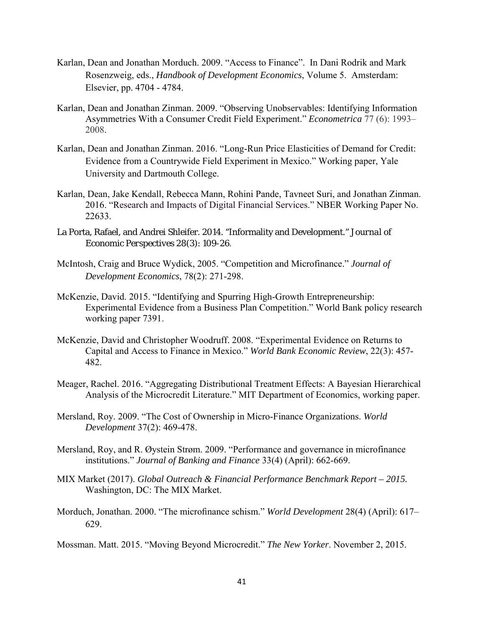- Karlan, Dean and Jonathan Morduch. 2009. "Access to Finance". In Dani Rodrik and Mark Rosenzweig, eds., *Handbook of Development Economics*, Volume 5. Amsterdam: Elsevier, pp. 4704 - 4784.
- Karlan, Dean and Jonathan Zinman. 2009. "Observing Unobservables: Identifying Information Asymmetries With a Consumer Credit Field Experiment." *Econometrica* 77 (6): 1993– 2008.
- Karlan, Dean and Jonathan Zinman. 2016. "Long-Run Price Elasticities of Demand for Credit: Evidence from a Countrywide Field Experiment in Mexico." Working paper, Yale University and Dartmouth College.
- Karlan, Dean, Jake Kendall, Rebecca Mann, Rohini Pande, Tavneet Suri, and Jonathan Zinman. 2016. "Research and Impacts of Digital Financial Services." NBER Working Paper No. 22633.
- La Porta, Rafael, and Andrei Shleifer. 2014. "Informality and Development." *Journal of Economic Perspectives* 28(3): 109-26.
- McIntosh, Craig and Bruce Wydick, 2005. "Competition and Microfinance." *Journal of Development Economics*, 78(2): 271-298.
- McKenzie, David. 2015. "Identifying and Spurring High-Growth Entrepreneurship: Experimental Evidence from a Business Plan Competition." World Bank policy research working paper 7391.
- McKenzie, David and Christopher Woodruff. 2008. "Experimental Evidence on Returns to Capital and Access to Finance in Mexico." *World Bank Economic Review*, 22(3): 457- 482.
- Meager, Rachel. 2016. "Aggregating Distributional Treatment Effects: A Bayesian Hierarchical Analysis of the Microcredit Literature." MIT Department of Economics, working paper.
- Mersland, Roy. 2009. "The Cost of Ownership in Micro-Finance Organizations. *World Development* 37(2): 469-478.
- Mersland, Roy, and R. Øystein Strøm. 2009. "Performance and governance in microfinance institutions." *Journal of Banking and Finance* 33(4) (April): 662-669.
- MIX Market (2017). *Global Outreach & Financial Performance Benchmark Report 2015.* Washington, DC: The MIX Market.
- Morduch, Jonathan. 2000. "The microfinance schism." *World Development* 28(4) (April): 617– 629.
- Mossman. Matt. 2015. "Moving Beyond Microcredit." *The New Yorker*. November 2, 2015.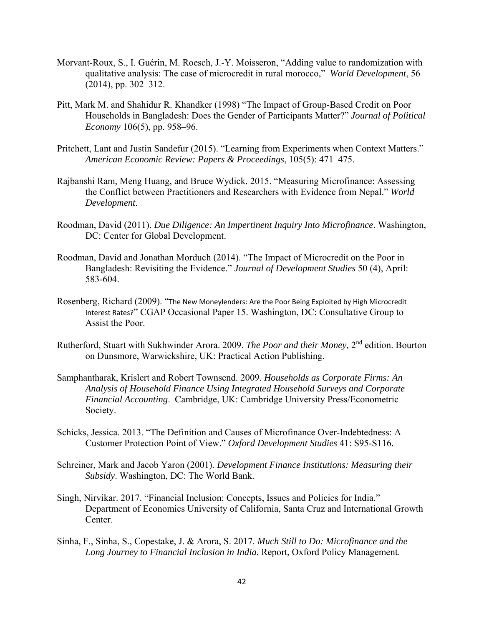- Morvant-Roux, S., I. Guérin, M. Roesch, J.-Y. Moisseron, "Adding value to randomization with qualitative analysis: The case of microcredit in rural morocco," *World Development*, 56 (2014), pp. 302–312.
- Pitt, Mark M. and Shahidur R. Khandker (1998) "The Impact of Group-Based Credit on Poor Households in Bangladesh: Does the Gender of Participants Matter?" *Journal of Political Economy* 106(5), pp. 958–96.
- Pritchett, Lant and Justin Sandefur (2015). "Learning from Experiments when Context Matters." *American Economic Review: Papers & Proceedings*, 105(5): 471–475.
- Rajbanshi Ram, Meng Huang, and Bruce Wydick. 2015. "Measuring Microfinance: Assessing the Conflict between Practitioners and Researchers with Evidence from Nepal." *World Development*.
- Roodman, David (2011). *Due Diligence: An Impertinent Inquiry Into Microfinance*. Washington, DC: Center for Global Development.
- Roodman, David and Jonathan Morduch (2014). "The Impact of Microcredit on the Poor in Bangladesh: Revisiting the Evidence." *Journal of Development Studies* 50 (4), April: 583-604.
- Rosenberg, Richard (2009). "The New Moneylenders: Are the Poor Being Exploited by High Microcredit Interest Rates?" CGAP Occasional Paper 15. Washington, DC: Consultative Group to Assist the Poor.
- Rutherford, Stuart with Sukhwinder Arora. 2009. *The Poor and their Money,* 2nd edition. Bourton on Dunsmore, Warwickshire, UK: Practical Action Publishing.
- Samphantharak, Krislert and Robert Townsend. 2009. *Households as Corporate Firms: An Analysis of Household Finance Using Integrated Household Surveys and Corporate Financial Accounting*. Cambridge, UK: Cambridge University Press/Econometric Society.
- Schicks, Jessica. 2013. "The Definition and Causes of Microfinance Over-Indebtedness: A Customer Protection Point of View." *Oxford Development Studies* 41: S95-S116.
- Schreiner, Mark and Jacob Yaron (2001). *Development Finance Institutions: Measuring their Subsidy*. Washington, DC: The World Bank.
- Singh, Nirvikar. 2017. "Financial Inclusion: Concepts, Issues and Policies for India." Department of Economics University of California, Santa Cruz and International Growth Center.
- Sinha, F., Sinha, S., Copestake, J. & Arora, S. 2017. *Much Still to Do: Microfinance and the Long Journey to Financial Inclusion in India.* Report, Oxford Policy Management.